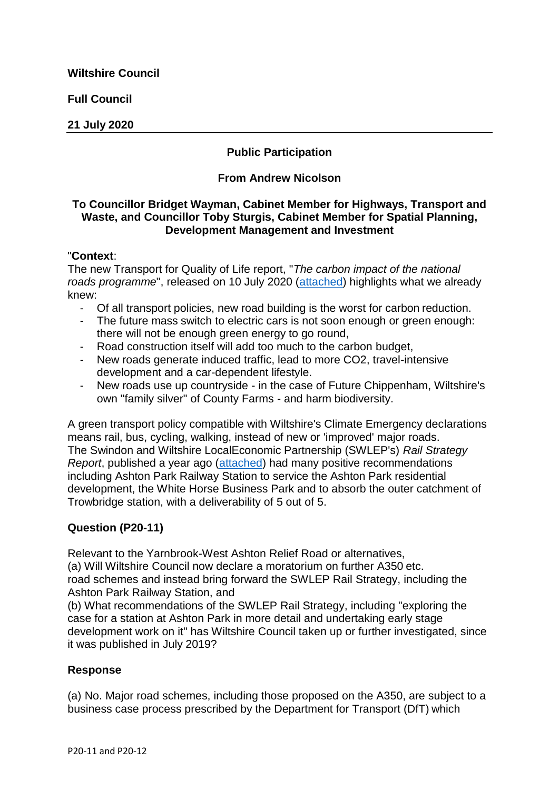**Full Council**

### **21 July 2020**

# **Public Participation**

### **From Andrew Nicolson**

## **To Councillor Bridget Wayman, Cabinet Member for Highways, Transport and Waste, and Councillor Toby Sturgis, Cabinet Member for Spatial Planning, Development Management and Investment**

### "**Context**:

The new Transport for Quality of Life report, "*The carbon impact of the national roads programme*", released on 10 July 2020 [\(attached\)](https://cms.wiltshire.gov.uk/documents/s179816/ThecarbonimpactofthenationalroadsprogrammeFINAL.pdf) highlights what we already knew:

- Of all transport policies, new road building is the worst for carbon reduction.
- The future mass switch to electric cars is not soon enough or green enough: there will not be enough green energy to go round,
- Road construction itself will add too much to the carbon budget,
- New roads generate induced traffic, lead to more CO2, travel-intensive development and a car-dependent lifestyle.
- New roads use up countryside in the case of Future Chippenham, Wiltshire's own "family silver" of County Farms - and harm biodiversity.

A green transport policy compatible with Wiltshire's Climate Emergency declarations means rail, bus, cycling, walking, instead of new or 'improved' major roads. The Swindon and Wiltshire LocalEconomic Partnership (SWLEP's) *Rail Strategy Report*, published a year ago [\(attached\)](https://cms.wiltshire.gov.uk/documents/s179815/December2019Revivingcountyfarms.pdf) had many positive recommendations including Ashton Park Railway Station to service the Ashton Park residential development, the White Horse Business Park and to absorb the outer catchment of Trowbridge station, with a deliverability of 5 out of 5.

# **Question (P20-11)**

Relevant to the Yarnbrook-West Ashton Relief Road or alternatives,

(a) Will Wiltshire Council now declare a moratorium on further A350 etc. road schemes and instead bring forward the SWLEP Rail Strategy, including the Ashton Park Railway Station, and

(b) What recommendations of the SWLEP Rail Strategy, including "exploring the case for a station at Ashton Park in more detail and undertaking early stage development work on it" has Wiltshire Council taken up or further investigated, since it was published in July 2019?

# **Response**

(a) No. Major road schemes, including those proposed on the A350, are subject to a business case process prescribed by the Department for Transport (DfT) which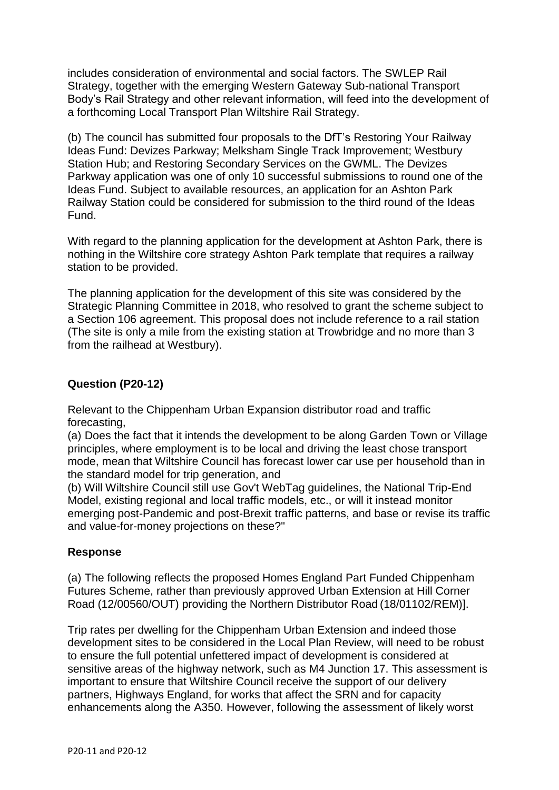includes consideration of environmental and social factors. The SWLEP Rail Strategy, together with the emerging Western Gateway Sub-national Transport Body's Rail Strategy and other relevant information, will feed into the development of a forthcoming Local Transport Plan Wiltshire Rail Strategy.

(b) The council has submitted four proposals to the DfT's Restoring Your Railway Ideas Fund: Devizes Parkway; Melksham Single Track Improvement; Westbury Station Hub; and Restoring Secondary Services on the GWML. The Devizes Parkway application was one of only 10 successful submissions to round one of the Ideas Fund. Subject to available resources, an application for an Ashton Park Railway Station could be considered for submission to the third round of the Ideas Fund.

With regard to the planning application for the development at Ashton Park, there is nothing in the Wiltshire core strategy Ashton Park template that requires a railway station to be provided.

The planning application for the development of this site was considered by the Strategic Planning Committee in 2018, who resolved to grant the scheme subject to a Section 106 agreement. This proposal does not include reference to a rail station (The site is only a mile from the existing station at Trowbridge and no more than 3 from the railhead at Westbury).

## **Question (P20-12)**

Relevant to the Chippenham Urban Expansion distributor road and traffic forecasting,

(a) Does the fact that it intends the development to be along Garden Town or Village principles, where employment is to be local and driving the least chose transport mode, mean that Wiltshire Council has forecast lower car use per household than in the standard model for trip generation, and

(b) Will Wiltshire Council still use Gov't WebTag guidelines, the National Trip-End Model, existing regional and local traffic models, etc., or will it instead monitor emerging post-Pandemic and post-Brexit traffic patterns, and base or revise its traffic and value-for-money projections on these?"

# **Response**

(a) The following reflects the proposed Homes England Part Funded Chippenham Futures Scheme, rather than previously approved Urban Extension at Hill Corner Road (12/00560/OUT) providing the Northern Distributor Road (18/01102/REM)].

Trip rates per dwelling for the Chippenham Urban Extension and indeed those development sites to be considered in the Local Plan Review, will need to be robust to ensure the full potential unfettered impact of development is considered at sensitive areas of the highway network, such as M4 Junction 17. This assessment is important to ensure that Wiltshire Council receive the support of our delivery partners, Highways England, for works that affect the SRN and for capacity enhancements along the A350. However, following the assessment of likely worst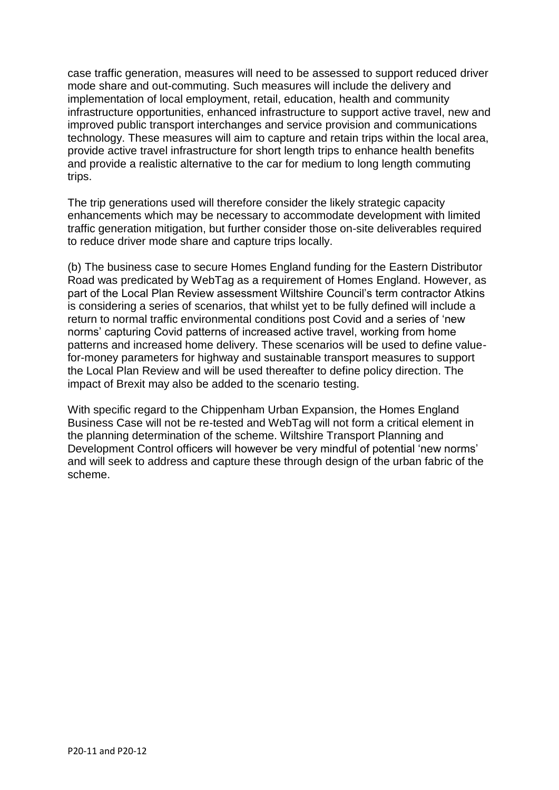case traffic generation, measures will need to be assessed to support reduced driver mode share and out-commuting. Such measures will include the delivery and implementation of local employment, retail, education, health and community infrastructure opportunities, enhanced infrastructure to support active travel, new and improved public transport interchanges and service provision and communications technology. These measures will aim to capture and retain trips within the local area, provide active travel infrastructure for short length trips to enhance health benefits and provide a realistic alternative to the car for medium to long length commuting trips.

The trip generations used will therefore consider the likely strategic capacity enhancements which may be necessary to accommodate development with limited traffic generation mitigation, but further consider those on-site deliverables required to reduce driver mode share and capture trips locally.

(b) The business case to secure Homes England funding for the Eastern Distributor Road was predicated by WebTag as a requirement of Homes England. However, as part of the Local Plan Review assessment Wiltshire Council's term contractor Atkins is considering a series of scenarios, that whilst yet to be fully defined will include a return to normal traffic environmental conditions post Covid and a series of 'new norms' capturing Covid patterns of increased active travel, working from home patterns and increased home delivery. These scenarios will be used to define valuefor-money parameters for highway and sustainable transport measures to support the Local Plan Review and will be used thereafter to define policy direction. The impact of Brexit may also be added to the scenario testing.

With specific regard to the Chippenham Urban Expansion, the Homes England Business Case will not be re-tested and WebTag will not form a critical element in the planning determination of the scheme. Wiltshire Transport Planning and Development Control officers will however be very mindful of potential 'new norms' and will seek to address and capture these through design of the urban fabric of the scheme.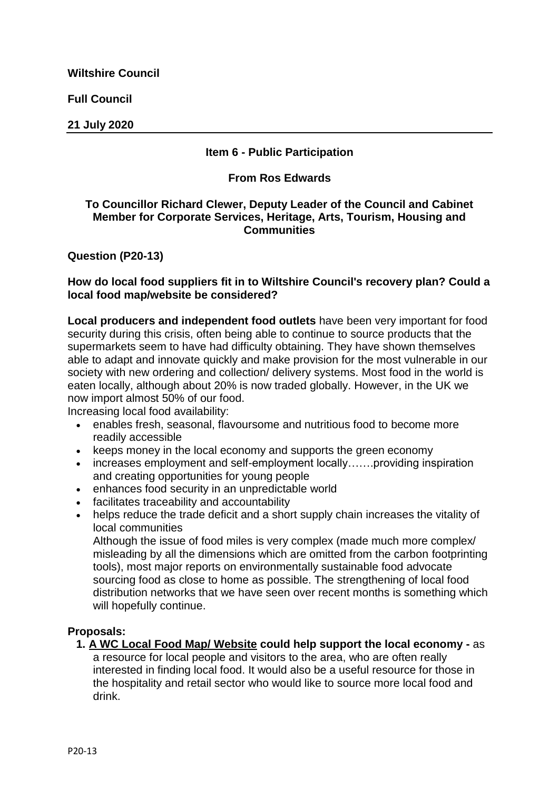**Full Council**

**21 July 2020**

## **Item 6 - Public Participation**

### **From Ros Edwards**

### **To Councillor Richard Clewer, Deputy Leader of the Council and Cabinet Member for Corporate Services, Heritage, Arts, Tourism, Housing and Communities**

**Question (P20-13)**

### **How do local food suppliers fit in to Wiltshire Council's recovery plan? Could a local food map/website be considered?**

**Local producers and independent food outlets** have been very important for food security during this crisis, often being able to continue to source products that the supermarkets seem to have had difficulty obtaining. They have shown themselves able to adapt and innovate quickly and make provision for the most vulnerable in our society with new ordering and collection/ delivery systems. Most food in the world is eaten locally, although about 20% is now traded globally. However, in the UK we now import almost 50% of our food.

Increasing local food availability:

- enables fresh, seasonal, flavoursome and nutritious food to become more readily accessible
- keeps money in the local economy and supports the green economy
- increases employment and self-employment locally…….providing inspiration and creating opportunities for young people
- enhances food security in an unpredictable world
- facilitates traceability and accountability
- helps reduce the trade deficit and a short supply chain increases the vitality of local communities

Although the issue of food miles is very complex (made much more complex/ misleading by all the dimensions which are omitted from the carbon footprinting tools), most major reports on environmentally sustainable food advocate sourcing food as close to home as possible. The strengthening of local food distribution networks that we have seen over recent months is something which will hopefully continue.

# **Proposals:**

**1. A WC Local Food Map/ Website could help support the local economy -** as a resource for local people and visitors to the area, who are often really interested in finding local food. It would also be a useful resource for those in the hospitality and retail sector who would like to source more local food and drink.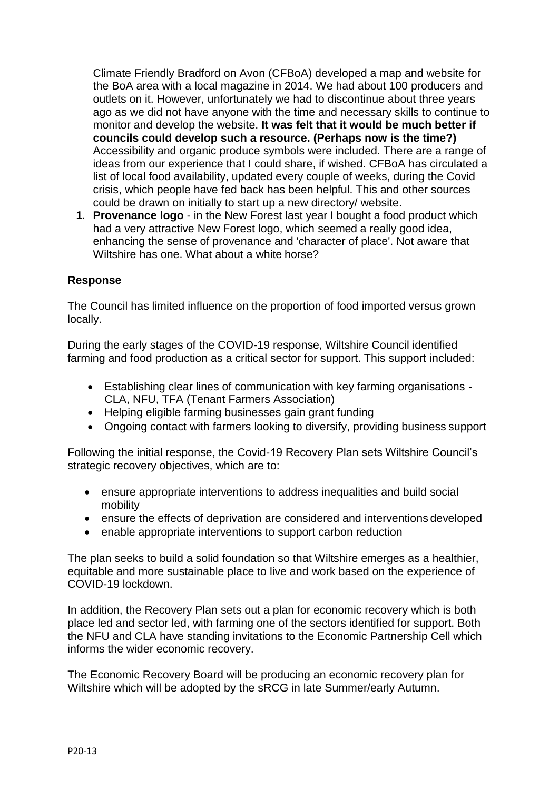Climate Friendly Bradford on Avon (CFBoA) developed a map and website for the BoA area with a local magazine in 2014. We had about 100 producers and outlets on it. However, unfortunately we had to discontinue about three years ago as we did not have anyone with the time and necessary skills to continue to monitor and develop the website. **It was felt that it would be much better if councils could develop such a resource. (Perhaps now is the time?)**  Accessibility and organic produce symbols were included. There are a range of ideas from our experience that I could share, if wished. CFBoA has circulated a list of local food availability, updated every couple of weeks, during the Covid crisis, which people have fed back has been helpful. This and other sources could be drawn on initially to start up a new directory/ website.

**1. Provenance logo** - in the New Forest last year I bought a food product which had a very attractive New Forest logo, which seemed a really good idea, enhancing the sense of provenance and 'character of place'. Not aware that Wiltshire has one. What about a white horse?

### **Response**

The Council has limited influence on the proportion of food imported versus grown locally.

During the early stages of the COVID-19 response, Wiltshire Council identified farming and food production as a critical sector for support. This support included:

- Establishing clear lines of communication with key farming organisations CLA, NFU, TFA (Tenant Farmers Association)
- Helping eligible farming businesses gain grant funding
- Ongoing contact with farmers looking to diversify, providing business support

Following the initial response, the Covid-19 Recovery Plan sets Wiltshire Council's strategic recovery objectives, which are to:

- ensure appropriate interventions to address inequalities and build social mobility
- ensure the effects of deprivation are considered and interventions developed
- enable appropriate interventions to support carbon reduction

The plan seeks to build a solid foundation so that Wiltshire emerges as a healthier, equitable and more sustainable place to live and work based on the experience of COVID-19 lockdown.

In addition, the Recovery Plan sets out a plan for economic recovery which is both place led and sector led, with farming one of the sectors identified for support. Both the NFU and CLA have standing invitations to the Economic Partnership Cell which informs the wider economic recovery.

The Economic Recovery Board will be producing an economic recovery plan for Wiltshire which will be adopted by the sRCG in late Summer/early Autumn.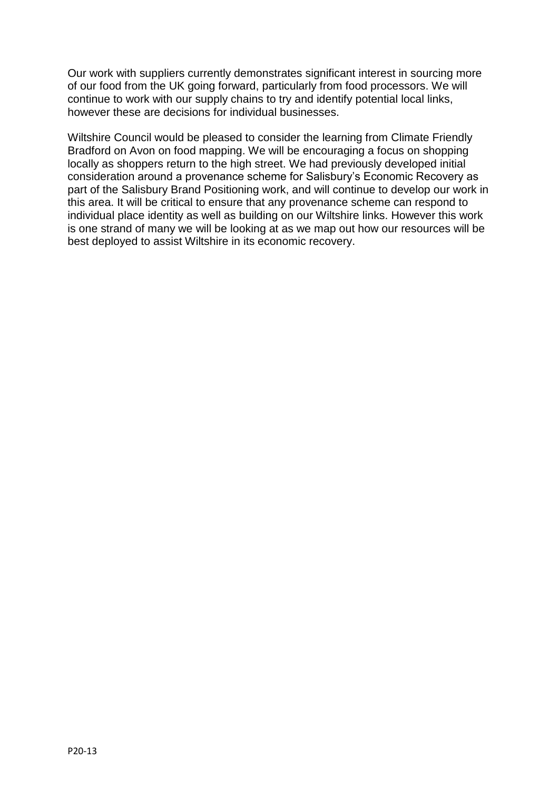Our work with suppliers currently demonstrates significant interest in sourcing more of our food from the UK going forward, particularly from food processors. We will continue to work with our supply chains to try and identify potential local links, however these are decisions for individual businesses.

Wiltshire Council would be pleased to consider the learning from Climate Friendly Bradford on Avon on food mapping. We will be encouraging a focus on shopping locally as shoppers return to the high street. We had previously developed initial consideration around a provenance scheme for Salisbury's Economic Recovery as part of the Salisbury Brand Positioning work, and will continue to develop our work in this area. It will be critical to ensure that any provenance scheme can respond to individual place identity as well as building on our Wiltshire links. However this work is one strand of many we will be looking at as we map out how our resources will be best deployed to assist Wiltshire in its economic recovery.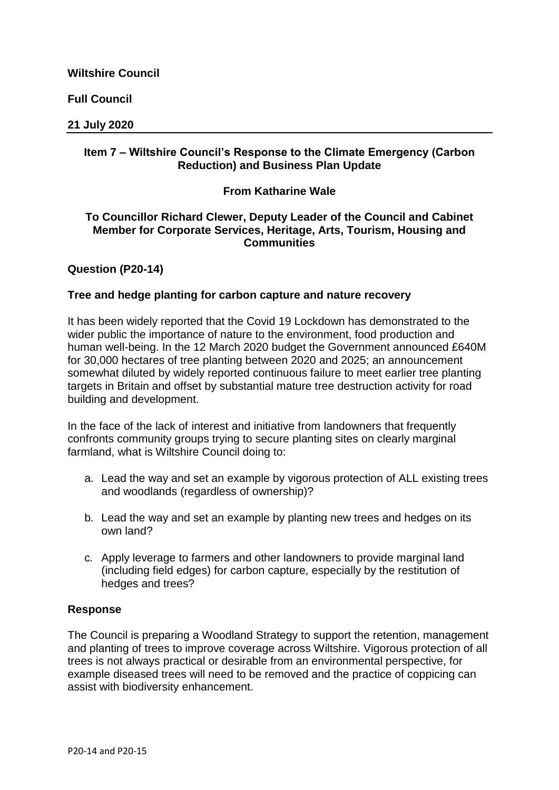**Full Council**

### **21 July 2020**

## **Item 7 – Wiltshire Council's Response to the Climate Emergency (Carbon Reduction) and Business Plan Update**

## **From Katharine Wale**

### **To Councillor Richard Clewer, Deputy Leader of the Council and Cabinet Member for Corporate Services, Heritage, Arts, Tourism, Housing and Communities**

### **Question (P20-14)**

### **Tree and hedge planting for carbon capture and nature recovery**

It has been widely reported that the Covid 19 Lockdown has demonstrated to the wider public the importance of nature to the environment, food production and human well-being. In the 12 March 2020 budget the Government announced £640M for 30,000 hectares of tree planting between 2020 and 2025; an announcement somewhat diluted by widely reported continuous failure to meet earlier tree planting targets in Britain and offset by substantial mature tree destruction activity for road building and development.

In the face of the lack of interest and initiative from landowners that frequently confronts community groups trying to secure planting sites on clearly marginal farmland, what is Wiltshire Council doing to:

- a. Lead the way and set an example by vigorous protection of ALL existing trees and woodlands (regardless of ownership)?
- b. Lead the way and set an example by planting new trees and hedges on its own land?
- c. Apply leverage to farmers and other landowners to provide marginal land (including field edges) for carbon capture, especially by the restitution of hedges and trees?

### **Response**

The Council is preparing a Woodland Strategy to support the retention, management and planting of trees to improve coverage across Wiltshire. Vigorous protection of all trees is not always practical or desirable from an environmental perspective, for example diseased trees will need to be removed and the practice of coppicing can assist with biodiversity enhancement.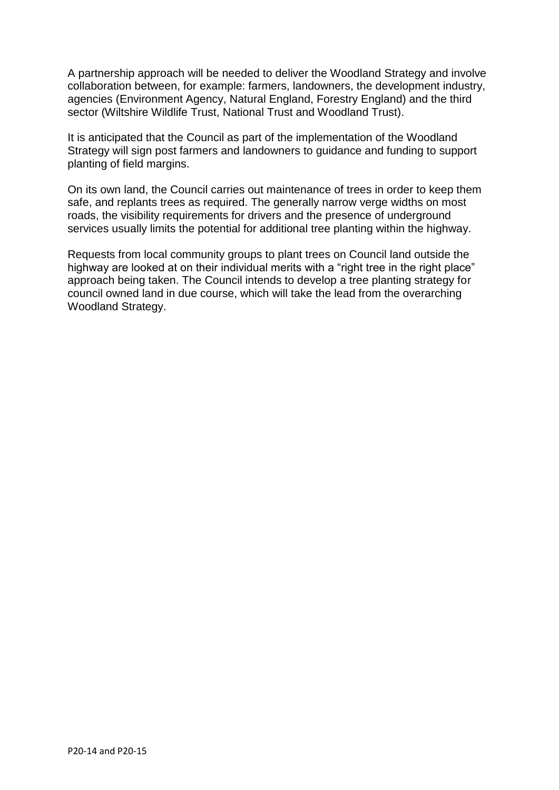A partnership approach will be needed to deliver the Woodland Strategy and involve collaboration between, for example: farmers, landowners, the development industry, agencies (Environment Agency, Natural England, Forestry England) and the third sector (Wiltshire Wildlife Trust, National Trust and Woodland Trust).

It is anticipated that the Council as part of the implementation of the Woodland Strategy will sign post farmers and landowners to guidance and funding to support planting of field margins.

On its own land, the Council carries out maintenance of trees in order to keep them safe, and replants trees as required. The generally narrow verge widths on most roads, the visibility requirements for drivers and the presence of underground services usually limits the potential for additional tree planting within the highway.

Requests from local community groups to plant trees on Council land outside the highway are looked at on their individual merits with a "right tree in the right place" approach being taken. The Council intends to develop a tree planting strategy for council owned land in due course, which will take the lead from the overarching Woodland Strategy.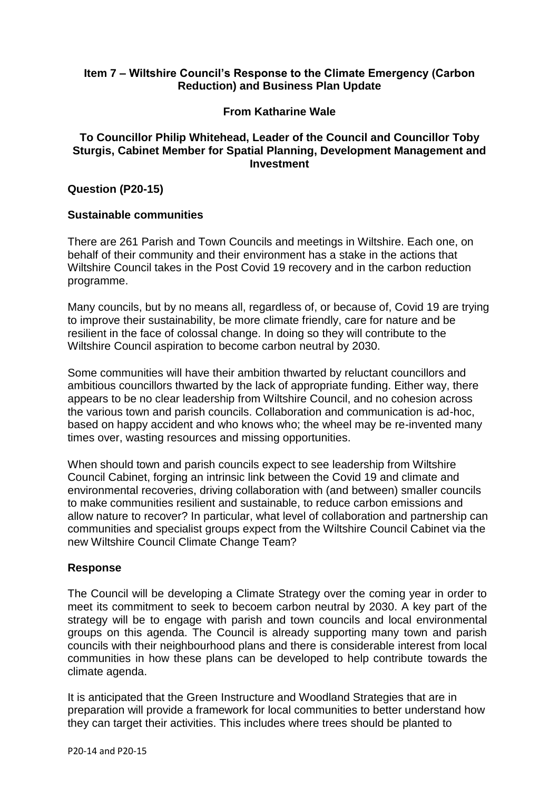### **Item 7 – Wiltshire Council's Response to the Climate Emergency (Carbon Reduction) and Business Plan Update**

### **From Katharine Wale**

### **To Councillor Philip Whitehead, Leader of the Council and Councillor Toby Sturgis, Cabinet Member for Spatial Planning, Development Management and Investment**

#### **Question (P20-15)**

#### **Sustainable communities**

There are 261 Parish and Town Councils and meetings in Wiltshire. Each one, on behalf of their community and their environment has a stake in the actions that Wiltshire Council takes in the Post Covid 19 recovery and in the carbon reduction programme.

Many councils, but by no means all, regardless of, or because of, Covid 19 are trying to improve their sustainability, be more climate friendly, care for nature and be resilient in the face of colossal change. In doing so they will contribute to the Wiltshire Council aspiration to become carbon neutral by 2030.

Some communities will have their ambition thwarted by reluctant councillors and ambitious councillors thwarted by the lack of appropriate funding. Either way, there appears to be no clear leadership from Wiltshire Council, and no cohesion across the various town and parish councils. Collaboration and communication is ad-hoc, based on happy accident and who knows who; the wheel may be re-invented many times over, wasting resources and missing opportunities.

When should town and parish councils expect to see leadership from Wiltshire Council Cabinet, forging an intrinsic link between the Covid 19 and climate and environmental recoveries, driving collaboration with (and between) smaller councils to make communities resilient and sustainable, to reduce carbon emissions and allow nature to recover? In particular, what level of collaboration and partnership can communities and specialist groups expect from the Wiltshire Council Cabinet via the new Wiltshire Council Climate Change Team?

#### **Response**

The Council will be developing a Climate Strategy over the coming year in order to meet its commitment to seek to becoem carbon neutral by 2030. A key part of the strategy will be to engage with parish and town councils and local environmental groups on this agenda. The Council is already supporting many town and parish councils with their neighbourhood plans and there is considerable interest from local communities in how these plans can be developed to help contribute towards the climate agenda.

It is anticipated that the Green Instructure and Woodland Strategies that are in preparation will provide a framework for local communities to better understand how they can target their activities. This includes where trees should be planted to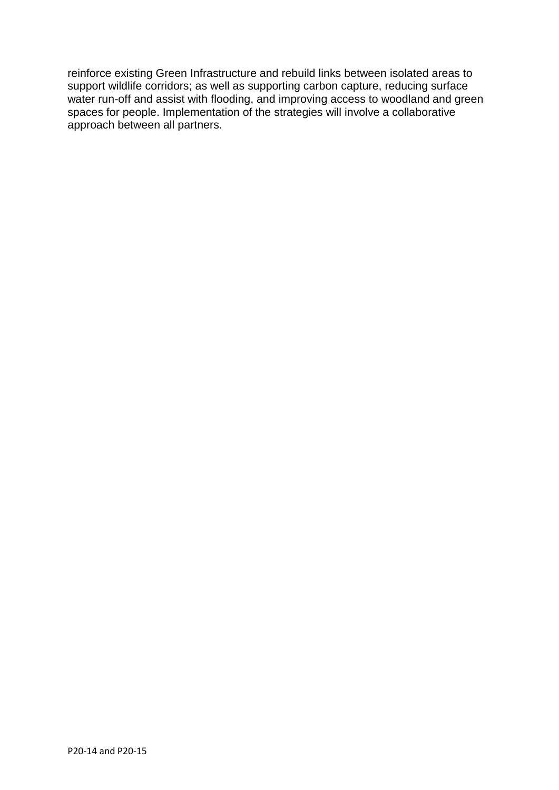reinforce existing Green Infrastructure and rebuild links between isolated areas to support wildlife corridors; as well as supporting carbon capture, reducing surface water run-off and assist with flooding, and improving access to woodland and green spaces for people. Implementation of the strategies will involve a collaborative approach between all partners.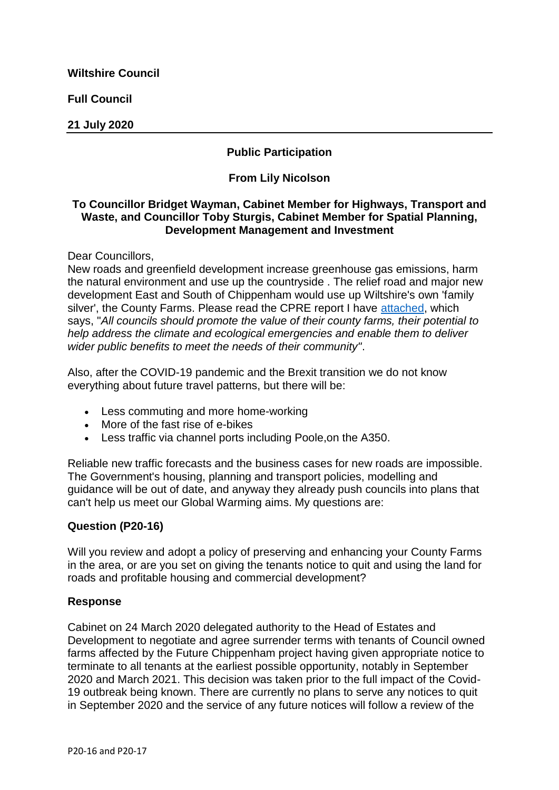**Full Council**

**21 July 2020**

# **Public Participation**

## **From Lily Nicolson**

### **To Councillor Bridget Wayman, Cabinet Member for Highways, Transport and Waste, and Councillor Toby Sturgis, Cabinet Member for Spatial Planning, Development Management and Investment**

Dear Councillors,

New roads and greenfield development increase greenhouse gas emissions, harm the natural environment and use up the countryside . The relief road and major new development East and South of Chippenham would use up Wiltshire's own 'family silver', the County Farms. Please read the CPRE report I have [attached,](https://cms.wiltshire.gov.uk/documents/s179815/December2019Revivingcountyfarms.pdf) which says, "*All councils should promote the value of their county farms, their potential to help address the climate and ecological emergencies and enable them to deliver wider public benefits to meet the needs of their community"*.

Also, after the COVID-19 pandemic and the Brexit transition we do not know everything about future travel patterns, but there will be:

- Less commuting and more home-working
- More of the fast rise of e-bikes
- Less traffic via channel ports including Poole,on the A350.

Reliable new traffic forecasts and the business cases for new roads are impossible. The Government's housing, planning and transport policies, modelling and guidance will be out of date, and anyway they already push councils into plans that can't help us meet our Global Warming aims. My questions are:

# **Question (P20-16)**

Will you review and adopt a policy of preserving and enhancing your County Farms in the area, or are you set on giving the tenants notice to quit and using the land for roads and profitable housing and commercial development?

### **Response**

Cabinet on 24 March 2020 delegated authority to the Head of Estates and Development to negotiate and agree surrender terms with tenants of Council owned farms affected by the Future Chippenham project having given appropriate notice to terminate to all tenants at the earliest possible opportunity, notably in September 2020 and March 2021. This decision was taken prior to the full impact of the Covid-19 outbreak being known. There are currently no plans to serve any notices to quit in September 2020 and the service of any future notices will follow a review of the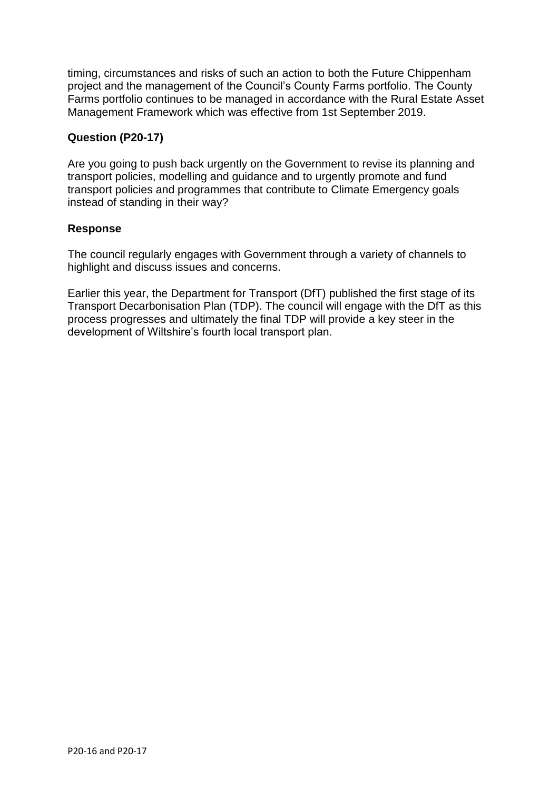timing, circumstances and risks of such an action to both the Future Chippenham project and the management of the Council's County Farms portfolio. The County Farms portfolio continues to be managed in accordance with the Rural Estate Asset Management Framework which was effective from 1st September 2019.

## **Question (P20-17)**

Are you going to push back urgently on the Government to revise its planning and transport policies, modelling and guidance and to urgently promote and fund transport policies and programmes that contribute to Climate Emergency goals instead of standing in their way?

### **Response**

The council regularly engages with Government through a variety of channels to highlight and discuss issues and concerns.

Earlier this year, the Department for Transport (DfT) published the first stage of its Transport Decarbonisation Plan (TDP). The council will engage with the DfT as this process progresses and ultimately the final TDP will provide a key steer in the development of Wiltshire's fourth local transport plan.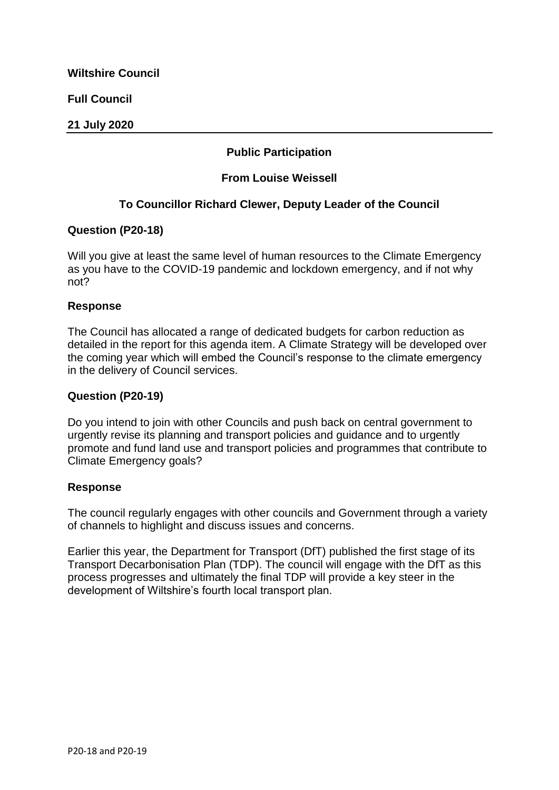**Full Council**

### **21 July 2020**

# **Public Participation**

## **From Louise Weissell**

# **To Councillor Richard Clewer, Deputy Leader of the Council**

### **Question (P20-18)**

Will you give at least the same level of human resources to the Climate Emergency as you have to the COVID-19 pandemic and lockdown emergency, and if not why not?

#### **Response**

The Council has allocated a range of dedicated budgets for carbon reduction as detailed in the report for this agenda item. A Climate Strategy will be developed over the coming year which will embed the Council's response to the climate emergency in the delivery of Council services.

#### **Question (P20-19)**

Do you intend to join with other Councils and push back on central government to urgently revise its planning and transport policies and guidance and to urgently promote and fund land use and transport policies and programmes that contribute to Climate Emergency goals?

### **Response**

The council regularly engages with other councils and Government through a variety of channels to highlight and discuss issues and concerns.

Earlier this year, the Department for Transport (DfT) published the first stage of its Transport Decarbonisation Plan (TDP). The council will engage with the DfT as this process progresses and ultimately the final TDP will provide a key steer in the development of Wiltshire's fourth local transport plan.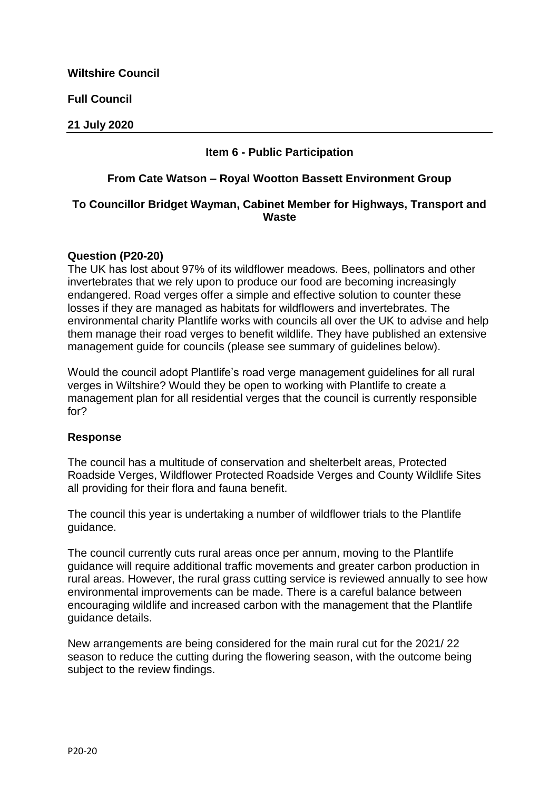**Full Council**

**21 July 2020**

## **Item 6 - Public Participation**

#### **From Cate Watson – Royal Wootton Bassett Environment Group**

### **To Councillor Bridget Wayman, Cabinet Member for Highways, Transport and Waste**

#### **Question (P20-20)**

The UK has lost about 97% of its wildflower meadows. Bees, pollinators and other invertebrates that we rely upon to produce our food are becoming increasingly endangered. Road verges offer a simple and effective solution to counter these losses if they are managed as habitats for wildflowers and invertebrates. The environmental charity Plantlife works with councils all over the UK to advise and help them manage their road verges to benefit wildlife. They have published an extensive management guide for councils (please see summary of guidelines below).

Would the council adopt Plantlife's road verge management guidelines for all rural verges in Wiltshire? Would they be open to working with Plantlife to create a management plan for all residential verges that the council is currently responsible for?

### **Response**

The council has a multitude of conservation and shelterbelt areas, Protected Roadside Verges, Wildflower Protected Roadside Verges and County Wildlife Sites all providing for their flora and fauna benefit.

The council this year is undertaking a number of wildflower trials to the Plantlife guidance.

The council currently cuts rural areas once per annum, moving to the Plantlife guidance will require additional traffic movements and greater carbon production in rural areas. However, the rural grass cutting service is reviewed annually to see how environmental improvements can be made. There is a careful balance between encouraging wildlife and increased carbon with the management that the Plantlife guidance details.

New arrangements are being considered for the main rural cut for the 2021/ 22 season to reduce the cutting during the flowering season, with the outcome being subject to the review findings.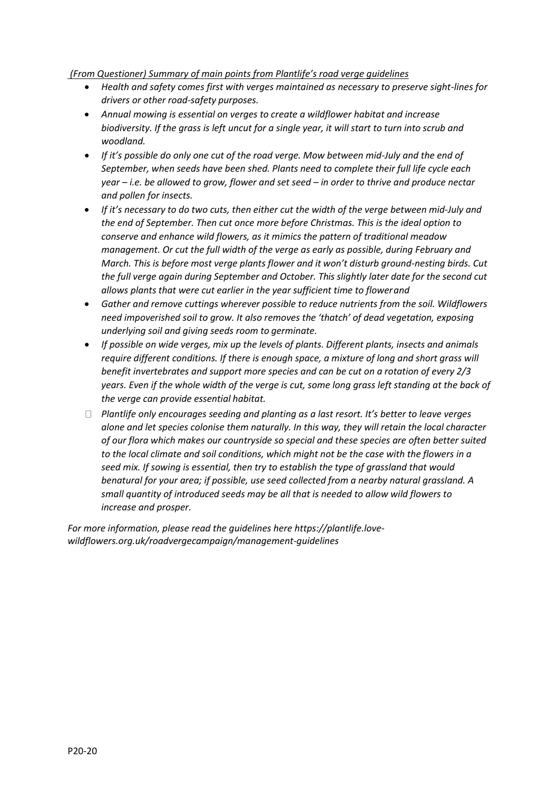#### *(From Questioner) Summary of main points from Plantlife's road verge guidelines*

- *Health and safety comes first with verges maintained as necessary to preserve sight-lines for drivers or other road-safety purposes.*
- *Annual mowing is essential on verges to create a wildflower habitat and increase biodiversity. If the grass is left uncut for a single year, it will start to turn into scrub and woodland.*
- *If it's possible do only one cut of the road verge. Mow between mid-July and the end of September, when seeds have been shed. Plants need to complete their full life cycle each year – i.e. be allowed to grow, flower and set seed – in order to thrive and produce nectar and pollen for insects.*
- If it's necessary to do two cuts, then either cut the width of the verge between mid-July and *the end of September. Then cut once more before Christmas. This is the ideal option to conserve and enhance wild flowers, as it mimics the pattern of traditional meadow management. Or cut the full width of the verge as early as possible, during February and March. This is before most verge plants flower and it won't disturb ground-nesting birds. Cut the full verge again during September and October. This slightly later date for the second cut allows plants that were cut earlier in the year sufficient time to flowerand*
- *Gather and remove cuttings wherever possible to reduce nutrients from the soil. Wildflowers need impoverished soil to grow. It also removes the 'thatch' of dead vegetation, exposing underlying soil and giving seeds room to germinate.*
- *If possible on wide verges, mix up the levels of plants. Different plants, insects and animals require different conditions. If there is enough space, a mixture of long and short grass will benefit invertebrates and support more species and can be cut on a rotation of every 2/3 years. Even if the whole width of the verge is cut, some long grass left standing at the back of the verge can provide essential habitat.*
- *Plantlife only encourages seeding and planting as a last resort. It's better to leave verges alone and let species colonise them naturally. In this way, they will retain the local character of our flora which makes our countryside so special and these species are often better suited to the local climate and soil conditions, which might not be the case with the flowers in a seed mix. If sowing is essential, then try to establish the type of grassland that would benatural for your area; if possible, use seed collected from a nearby natural grassland. A small quantity of introduced seeds may be all that is needed to allow wild flowers to increase and prosper.*

*For more information, please read the guidelines here https://plantlife.lovewildflowers.org.uk/roadvergecampaign/management-guidelines*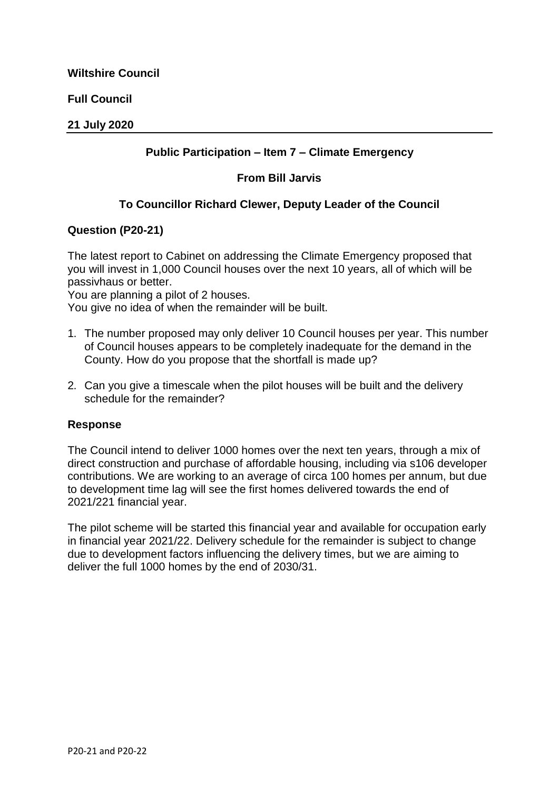**Full Council**

### **21 July 2020**

## **Public Participation – Item 7 – Climate Emergency**

### **From Bill Jarvis**

# **To Councillor Richard Clewer, Deputy Leader of the Council**

### **Question (P20-21)**

The latest report to Cabinet on addressing the Climate Emergency proposed that you will invest in 1,000 Council houses over the next 10 years, all of which will be passivhaus or better.

You are planning a pilot of 2 houses.

You give no idea of when the remainder will be built.

- 1. The number proposed may only deliver 10 Council houses per year. This number of Council houses appears to be completely inadequate for the demand in the County. How do you propose that the shortfall is made up?
- 2. Can you give a timescale when the pilot houses will be built and the delivery schedule for the remainder?

#### **Response**

The Council intend to deliver 1000 homes over the next ten years, through a mix of direct construction and purchase of affordable housing, including via s106 developer contributions. We are working to an average of circa 100 homes per annum, but due to development time lag will see the first homes delivered towards the end of 2021/221 financial year.

The pilot scheme will be started this financial year and available for occupation early in financial year 2021/22. Delivery schedule for the remainder is subject to change due to development factors influencing the delivery times, but we are aiming to deliver the full 1000 homes by the end of 2030/31.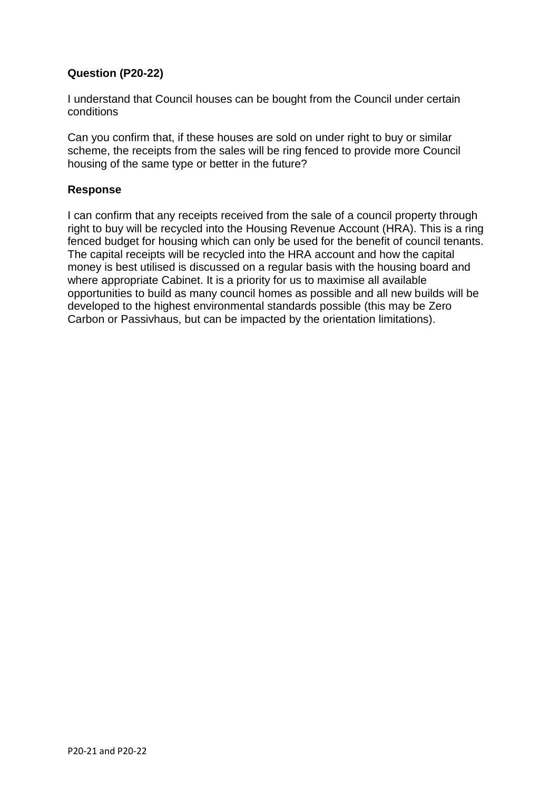## **Question (P20-22)**

I understand that Council houses can be bought from the Council under certain conditions

Can you confirm that, if these houses are sold on under right to buy or similar scheme, the receipts from the sales will be ring fenced to provide more Council housing of the same type or better in the future?

### **Response**

I can confirm that any receipts received from the sale of a council property through right to buy will be recycled into the Housing Revenue Account (HRA). This is a ring fenced budget for housing which can only be used for the benefit of council tenants. The capital receipts will be recycled into the HRA account and how the capital money is best utilised is discussed on a regular basis with the housing board and where appropriate Cabinet. It is a priority for us to maximise all available opportunities to build as many council homes as possible and all new builds will be developed to the highest environmental standards possible (this may be Zero Carbon or Passivhaus, but can be impacted by the orientation limitations).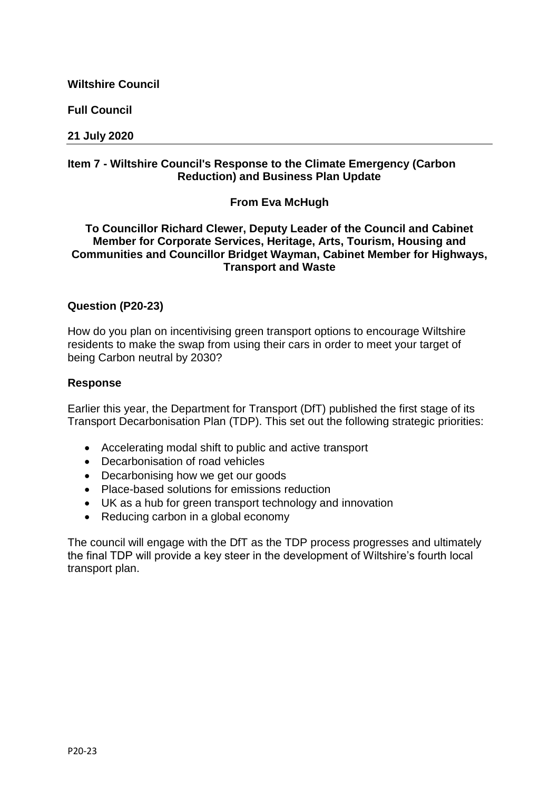**Full Council**

#### **21 July 2020**

## **Item 7 - Wiltshire Council's Response to the Climate Emergency (Carbon Reduction) and Business Plan Update**

### **From Eva McHugh**

### **To Councillor Richard Clewer, Deputy Leader of the Council and Cabinet Member for Corporate Services, Heritage, Arts, Tourism, Housing and Communities and Councillor Bridget Wayman, Cabinet Member for Highways, Transport and Waste**

### **Question (P20-23)**

How do you plan on incentivising green transport options to encourage Wiltshire residents to make the swap from using their cars in order to meet your target of being Carbon neutral by 2030?

#### **Response**

Earlier this year, the Department for Transport (DfT) published the first stage of its Transport Decarbonisation Plan (TDP). This set out the following strategic priorities:

- Accelerating modal shift to public and active transport
- Decarbonisation of road vehicles
- Decarbonising how we get our goods
- Place-based solutions for emissions reduction
- UK as a hub for green transport technology and innovation
- Reducing carbon in a global economy

The council will engage with the DfT as the TDP process progresses and ultimately the final TDP will provide a key steer in the development of Wiltshire's fourth local transport plan.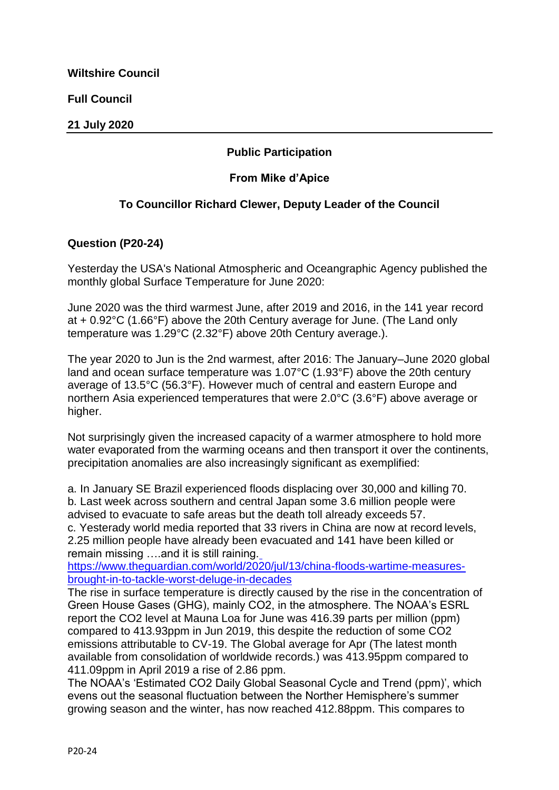**Full Council**

### **21 July 2020**

# **Public Participation**

## **From Mike d'Apice**

# **To Councillor Richard Clewer, Deputy Leader of the Council**

## **Question (P20-24)**

Yesterday the USA's National Atmospheric and Oceangraphic Agency published the monthly global Surface Temperature for June 2020:

June 2020 was the third warmest June, after 2019 and 2016, in the 141 year record at + 0.92°C (1.66°F) above the 20th Century average for June. (The Land only temperature was 1.29°C (2.32°F) above 20th Century average.).

The year 2020 to Jun is the 2nd warmest, after 2016: The January–June 2020 global land and ocean surface temperature was 1.07°C (1.93°F) above the 20th century average of 13.5°C (56.3°F). However much of central and eastern Europe and northern Asia experienced temperatures that were 2.0°C (3.6°F) above average or higher.

Not surprisingly given the increased capacity of a warmer atmosphere to hold more water evaporated from the warming oceans and then transport it over the continents, precipitation anomalies are also increasingly significant as exemplified:

a. In January SE Brazil experienced floods displacing over 30,000 and killing 70. b. Last week across southern and central Japan some 3.6 million people were advised to evacuate to safe areas but the death toll already exceeds 57.

c. Yesterady world media reported that 33 rivers in China are now at record levels, 2.25 million people have already been evacuated and 141 have been killed or remain missing ….and it is still raining.

[https://www.theguardian.com/world/2020/jul/13/china-floods-wartime-measures](https://eur02.safelinks.protection.outlook.com/?url=https%3A%2F%2Fl.facebook.com%2Fl.php%3Fu%3Dhttps%253A%252F%252Fwww.theguardian.com%252Fworld%252F2020%252Fjul%252F13%252Fchina-floods-wartime-measures-brought-in-to-tackle-worst-deluge-in-decades%253Ffbclid%253DIwAR14-iuLfPe0agjHxWBWhOTRDS90115SX089Yagz4FKsl9EHRW70lF07G04%26h%3DAT2FB-UGMT0GdBgcrOK5nRM3bra5rVC2u2n8w-eVn1w4TBRDDH3XRcRU2fkGmkTCFzwC1fmHviEBO6onfwUEpYmUVl7S-Q3UzPLYxFFabuQsRrrAPzroazne4ieZIr9AZDm4sDL82qftzRYONQ%26__tn__%3D-UK-R%26c%5B0%5D%3DAT3BAAwlkdi-_LeIfxmLGVCXntG9w17hvFqxKXZkH4xmGwF9tbtU73Wzovy9MbxbjeIQXk8Y6RM6gR5rWbEPKxAuUXKbpspwUj2bQjJ3eRAPtU-yq5ywKZwUW9sEOX_g4g5vBYC-bpG2d1HW2xshCc2YfXshyWd1vrPsGF8d3waz0ulm0ZysVYQn4bZZ8Jw&data=02%7C01%7Ckieran.elliott%40wiltshire.gov.uk%7C68c75d29f0574f5c9bf408d8280ec85f%7C5546e75e3be14813b0ff26651ea2fe19%7C0%7C0%7C637303391241666619&sdata=QkRDND%2FbnfwdQk83l94SLXZaHytVZSq1xUd0QaazlEo%3D&reserved=0)[brought-in-to-tackle-worst-deluge-in-decades](https://eur02.safelinks.protection.outlook.com/?url=https%3A%2F%2Fl.facebook.com%2Fl.php%3Fu%3Dhttps%253A%252F%252Fwww.theguardian.com%252Fworld%252F2020%252Fjul%252F13%252Fchina-floods-wartime-measures-brought-in-to-tackle-worst-deluge-in-decades%253Ffbclid%253DIwAR14-iuLfPe0agjHxWBWhOTRDS90115SX089Yagz4FKsl9EHRW70lF07G04%26h%3DAT2FB-UGMT0GdBgcrOK5nRM3bra5rVC2u2n8w-eVn1w4TBRDDH3XRcRU2fkGmkTCFzwC1fmHviEBO6onfwUEpYmUVl7S-Q3UzPLYxFFabuQsRrrAPzroazne4ieZIr9AZDm4sDL82qftzRYONQ%26__tn__%3D-UK-R%26c%5B0%5D%3DAT3BAAwlkdi-_LeIfxmLGVCXntG9w17hvFqxKXZkH4xmGwF9tbtU73Wzovy9MbxbjeIQXk8Y6RM6gR5rWbEPKxAuUXKbpspwUj2bQjJ3eRAPtU-yq5ywKZwUW9sEOX_g4g5vBYC-bpG2d1HW2xshCc2YfXshyWd1vrPsGF8d3waz0ulm0ZysVYQn4bZZ8Jw&data=02%7C01%7Ckieran.elliott%40wiltshire.gov.uk%7C68c75d29f0574f5c9bf408d8280ec85f%7C5546e75e3be14813b0ff26651ea2fe19%7C0%7C0%7C637303391241666619&sdata=QkRDND%2FbnfwdQk83l94SLXZaHytVZSq1xUd0QaazlEo%3D&reserved=0)

The rise in surface temperature is directly caused by the rise in the concentration of Green House Gases (GHG), mainly CO2, in the atmosphere. The NOAA's ESRL report the CO2 level at Mauna Loa for June was 416.39 parts per million (ppm) compared to 413.93ppm in Jun 2019, this despite the reduction of some CO2 emissions attributable to CV-19. The Global average for Apr (The latest month available from consolidation of worldwide records.) was 413.95ppm compared to 411.09ppm in April 2019 a rise of 2.86 ppm.

The NOAA's 'Estimated CO2 Daily Global Seasonal Cycle and Trend (ppm)', which evens out the seasonal fluctuation between the Norther Hemisphere's summer growing season and the winter, has now reached 412.88ppm. This compares to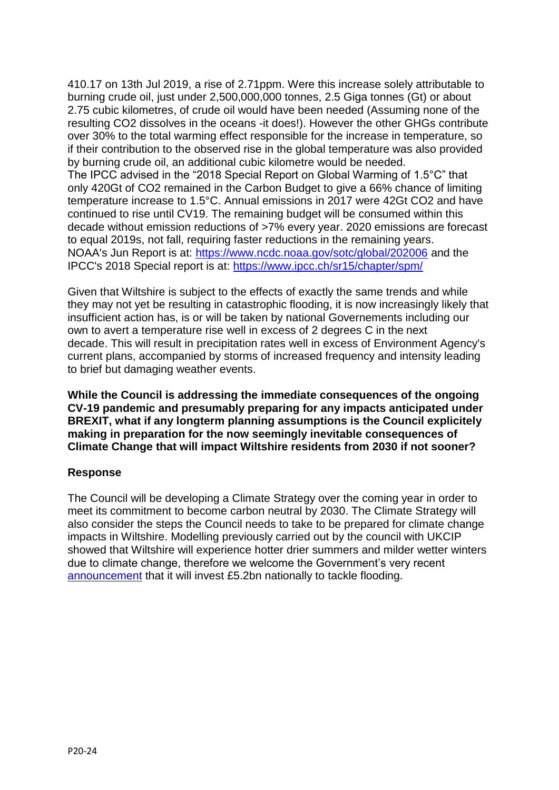410.17 on 13th Jul 2019, a rise of 2.71ppm. Were this increase solely attributable to burning crude oil, just under 2,500,000,000 tonnes, 2.5 Giga tonnes (Gt) or about 2.75 cubic kilometres, of crude oil would have been needed (Assuming none of the resulting CO2 dissolves in the oceans -it does!). However the other GHGs contribute over 30% to the total warming effect responsible for the increase in temperature, so if their contribution to the observed rise in the global temperature was also provided by burning crude oil, an additional cubic kilometre would be needed. The IPCC advised in the "2018 Special Report on Global Warming of 1.5°C" that only 420Gt of CO2 remained in the Carbon Budget to give a 66% chance of limiting temperature increase to 1.5°C. Annual emissions in 2017 were 42Gt CO2 and have continued to rise until CV19. The remaining budget will be consumed within this decade without emission reductions of >7% every year. 2020 emissions are forecast to equal 2019s, not fall, requiring faster reductions in the remaining years. NOAA's Jun Report is at: [https://www.ncdc.noaa.gov/sotc/global/202006](https://eur02.safelinks.protection.outlook.com/?url=https%3A%2F%2Fl.facebook.com%2Fl.php%3Fu%3Dhttps%253A%252F%252Fwww.ncdc.noaa.gov%252Fsotc%252Fglobal%252F202006%253Ffbclid%253DIwAR1GquIxS9VM0PXcCqJmL5xpls-wPbXeMg5EXCI5f-zQDJaavPumMaTKsTE%26h%3DAT0uO9bp2uJyUn49zTxNzR2Z_UAymr3NXvknlaaoDsuHdoB7j6LJ05D8TveqFZ6CvpGaF0ityXg7wC4UPYkL1bHVtFtCUHua74nbJvCozZMw1hT3dAXz5t262i8tzVWjyBSrVCMDyiAapdK_yQ%26__tn__%3D-UK-R%26c%5B0%5D%3DAT3BAAwlkdi-_LeIfxmLGVCXntG9w17hvFqxKXZkH4xmGwF9tbtU73Wzovy9MbxbjeIQXk8Y6RM6gR5rWbEPKxAuUXKbpspwUj2bQjJ3eRAPtU-yq5ywKZwUW9sEOX_g4g5vBYC-bpG2d1HW2xshCc2YfXshyWd1vrPsGF8d3waz0ulm0ZysVYQn4bZZ8Jw&data=02%7C01%7Ckieran.elliott%40wiltshire.gov.uk%7C68c75d29f0574f5c9bf408d8280ec85f%7C5546e75e3be14813b0ff26651ea2fe19%7C0%7C0%7C637303391241666619&sdata=amjQIptN%2BntixFH21zOKTnbUKxI6ivw%2Fm7pskELiuz0%3D&reserved=0) and the IPCC's 2018 Special report is at: [https://www.ipcc.ch/sr15/chapter/spm/](https://eur02.safelinks.protection.outlook.com/?url=https%3A%2F%2Fl.facebook.com%2Fl.php%3Fu%3Dhttps%253A%252F%252Fwww.ipcc.ch%252Fsr15%252Fchapter%252Fspm%252F%253Ffbclid%253DIwAR2tYcuEtC35rt4F9ADihPJmlwlQLnmdLdiJLHL41IuruyfZ9knyD23BeCQ%26h%3DAT0YJO7QKSwMNqeMg5sziwDTo2PqIlQnrEmMptajl5Q9WMnMV70qN7zQlT_bly-cQdQBrsYLksGO9aeZYc5vzJCIp1qqurLtXCX3XfLidyZo3m9J_LBCNS4k00o2Sgt_waT11r9_KO8p7naljw%26__tn__%3D-UK-R%26c%5B0%5D%3DAT3BAAwlkdi-_LeIfxmLGVCXntG9w17hvFqxKXZkH4xmGwF9tbtU73Wzovy9MbxbjeIQXk8Y6RM6gR5rWbEPKxAuUXKbpspwUj2bQjJ3eRAPtU-yq5ywKZwUW9sEOX_g4g5vBYC-bpG2d1HW2xshCc2YfXshyWd1vrPsGF8d3waz0ulm0ZysVYQn4bZZ8Jw&data=02%7C01%7Ckieran.elliott%40wiltshire.gov.uk%7C68c75d29f0574f5c9bf408d8280ec85f%7C5546e75e3be14813b0ff26651ea2fe19%7C0%7C0%7C637303391241676614&sdata=fzNbiqmadCyboRB52qfkY1fxuXYm2i%2Foi7NyJLRfk9Q%3D&reserved=0)

Given that Wiltshire is subject to the effects of exactly the same trends and while they may not yet be resulting in catastrophic flooding, it is now increasingly likely that insufficient action has, is or will be taken by national Governements including our own to avert a temperature rise well in excess of 2 degrees C in the next decade. This will result in precipitation rates well in excess of Environment Agency's current plans, accompanied by storms of increased frequency and intensity leading to brief but damaging weather events.

**While the Council is addressing the immediate consequences of the ongoing CV-19 pandemic and presumably preparing for any impacts anticipated under BREXIT, what if any longterm planning assumptions is the Council explicitely making in preparation for the now seemingly inevitable consequences of Climate Change that will impact Wiltshire residents from 2030 if not sooner?**

### **Response**

The Council will be developing a Climate Strategy over the coming year in order to meet its commitment to become carbon neutral by 2030. The Climate Strategy will also consider the steps the Council needs to take to be prepared for climate change impacts in Wiltshire. Modelling previously carried out by the council with UKCIP showed that Wiltshire will experience hotter drier summers and milder wetter winters due to climate change, therefore we welcome the Government's very recent [announcement](https://www.gov.uk/government/news/multi-billion-pound-investment-as-government-unveils-new-long-term-plan-to-tackle-flooding) that it will invest £5.2bn nationally to tackle flooding.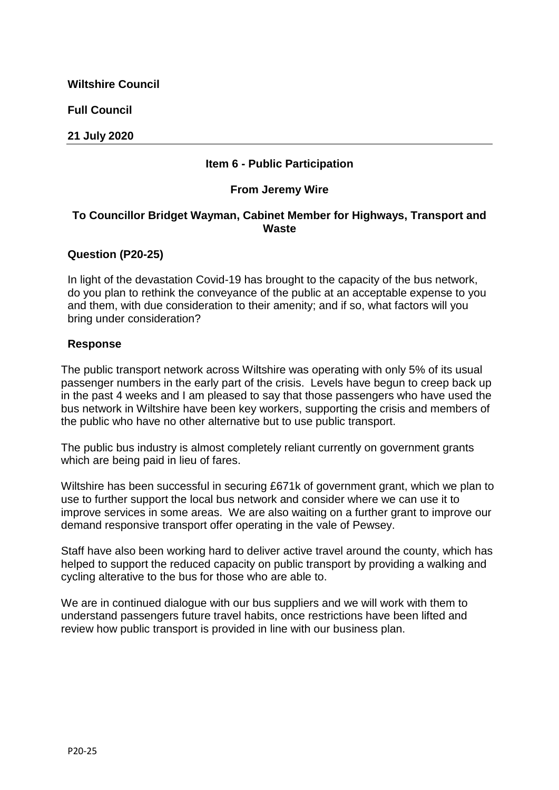**Full Council**

### **21 July 2020**

### **Item 6 - Public Participation**

### **From Jeremy Wire**

### **To Councillor Bridget Wayman, Cabinet Member for Highways, Transport and Waste**

### **Question (P20-25)**

In light of the devastation Covid-19 has brought to the capacity of the bus network, do you plan to rethink the conveyance of the public at an acceptable expense to you and them, with due consideration to their amenity; and if so, what factors will you bring under consideration?

### **Response**

The public transport network across Wiltshire was operating with only 5% of its usual passenger numbers in the early part of the crisis. Levels have begun to creep back up in the past 4 weeks and I am pleased to say that those passengers who have used the bus network in Wiltshire have been key workers, supporting the crisis and members of the public who have no other alternative but to use public transport.

The public bus industry is almost completely reliant currently on government grants which are being paid in lieu of fares.

Wiltshire has been successful in securing £671k of government grant, which we plan to use to further support the local bus network and consider where we can use it to improve services in some areas. We are also waiting on a further grant to improve our demand responsive transport offer operating in the vale of Pewsey.

Staff have also been working hard to deliver active travel around the county, which has helped to support the reduced capacity on public transport by providing a walking and cycling alterative to the bus for those who are able to.

We are in continued dialogue with our bus suppliers and we will work with them to understand passengers future travel habits, once restrictions have been lifted and review how public transport is provided in line with our business plan.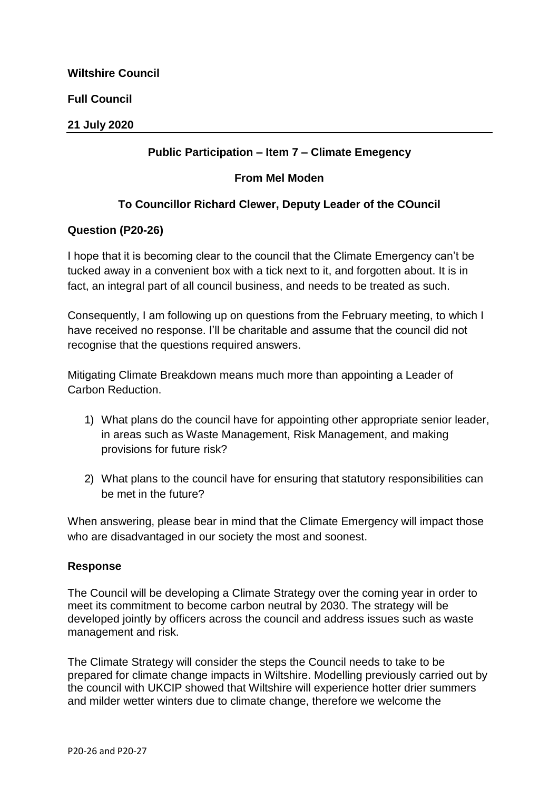| <b>Wiltshire Council</b> |
|--------------------------|
| <b>Full Council</b>      |
| 21 July 2020             |

## **Public Participation – Item 7 – Climate Emegency**

### **From Mel Moden**

## **To Councillor Richard Clewer, Deputy Leader of the COuncil**

#### **Question (P20-26)**

I hope that it is becoming clear to the council that the Climate Emergency can't be tucked away in a convenient box with a tick next to it, and forgotten about. It is in fact, an integral part of all council business, and needs to be treated as such.

Consequently, I am following up on questions from the February meeting, to which I have received no response. I'll be charitable and assume that the council did not recognise that the questions required answers.

Mitigating Climate Breakdown means much more than appointing a Leader of Carbon Reduction.

- 1) What plans do the council have for appointing other appropriate senior leader, in areas such as Waste Management, Risk Management, and making provisions for future risk?
- 2) What plans to the council have for ensuring that statutory responsibilities can be met in the future?

When answering, please bear in mind that the Climate Emergency will impact those who are disadvantaged in our society the most and soonest.

#### **Response**

The Council will be developing a Climate Strategy over the coming year in order to meet its commitment to become carbon neutral by 2030. The strategy will be developed jointly by officers across the council and address issues such as waste management and risk.

The Climate Strategy will consider the steps the Council needs to take to be prepared for climate change impacts in Wiltshire. Modelling previously carried out by the council with UKCIP showed that Wiltshire will experience hotter drier summers and milder wetter winters due to climate change, therefore we welcome the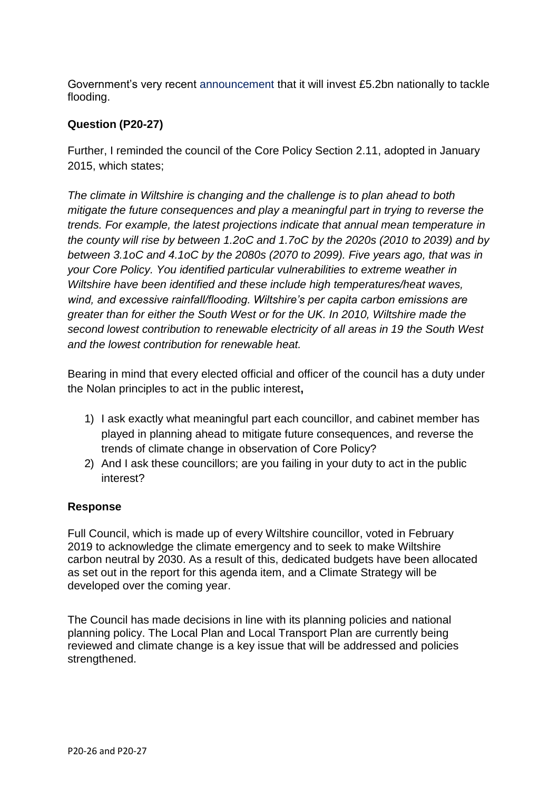Government's very recent [announcement t](https://www.gov.uk/government/news/multi-billion-pound-investment-as-government-unveils-new-long-term-plan-to-tackle-flooding)hat it will invest £5.2bn nationally to tackle flooding.

# **Question (P20-27)**

Further, I reminded the council of the Core Policy Section 2.11, adopted in January 2015, which states;

*The climate in Wiltshire is changing and the challenge is to plan ahead to both mitigate the future consequences and play a meaningful part in trying to reverse the trends. For example, the latest projections indicate that annual mean temperature in the county will rise by between 1.2oC and 1.7oC by the 2020s (2010 to 2039) and by between 3.1oC and 4.1oC by the 2080s (2070 to 2099). Five years ago, that was in your Core Policy. You identified particular vulnerabilities to extreme weather in Wiltshire have been identified and these include high temperatures/heat waves, wind, and excessive rainfall/flooding. Wiltshire's per capita carbon emissions are greater than for either the South West or for the UK. In 2010, Wiltshire made the second lowest contribution to renewable electricity of all areas in 19 the South West and the lowest contribution for renewable heat.*

Bearing in mind that every elected official and officer of the council has a duty under the Nolan principles to act in the public interest**,**

- 1) I ask exactly what meaningful part each councillor, and cabinet member has played in planning ahead to mitigate future consequences, and reverse the trends of climate change in observation of Core Policy?
- 2) And I ask these councillors; are you failing in your duty to act in the public interest?

# **Response**

Full Council, which is made up of every Wiltshire councillor, voted in February 2019 to acknowledge the climate emergency and to seek to make Wiltshire carbon neutral by 2030. As a result of this, dedicated budgets have been allocated as set out in the report for this agenda item, and a Climate Strategy will be developed over the coming year.

The Council has made decisions in line with its planning policies and national planning policy. The Local Plan and Local Transport Plan are currently being reviewed and climate change is a key issue that will be addressed and policies strengthened.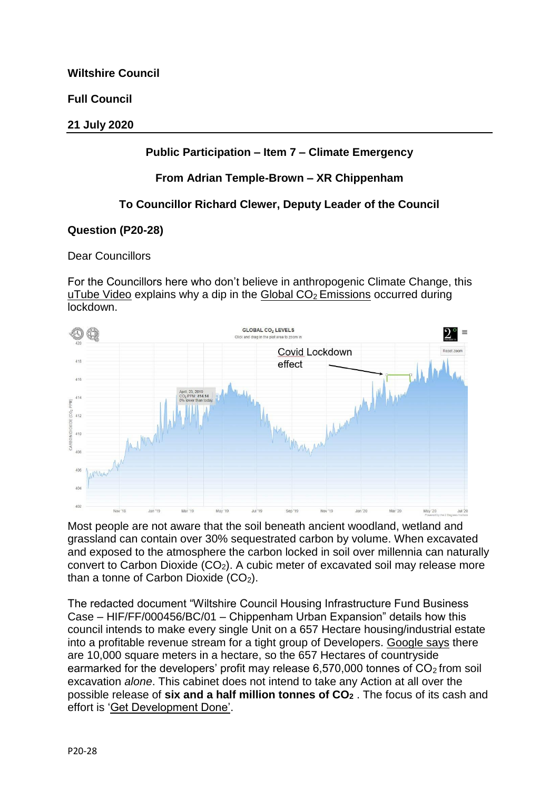**Full Council**

### **21 July 2020**

## **Public Participation – Item 7 – Climate Emergency**

## **From Adrian Temple-Brown – XR Chippenham**

# **To Councillor Richard Clewer, Deputy Leader of the Council**

### **Question (P20-28)**

### Dear Councillors

For the Councillors here who don't believe in anthropogenic Climate Change, this [uTube Video](https://eur02.safelinks.protection.outlook.com/?url=https%3A%2F%2Fwww.youtube.com%2Fwatch%3Fv%3DCB2yPX8FH2c%26t%3D3m18s&data=02%7C01%7Ckieran.elliott%40wiltshire.gov.uk%7C37b661c0008946aa110208d82964c338%7C5546e75e3be14813b0ff26651ea2fe19%7C0%7C0%7C637304860041232728&sdata=29V9x6obtcMP6dSHkBOuDSDMzPTdlzrvh3opMXfbFbM%3D&reserved=0) explains why a dip in the Global  $CO<sub>2</sub>$  Emissions occurred during lockdown.



Most people are not aware that the soil beneath ancient woodland, wetland and grassland can contain over 30% sequestrated carbon by volume. When excavated and exposed to the atmosphere the carbon locked in soil over millennia can naturally convert to Carbon Dioxide  $(CO_2)$ . A cubic meter of excavated soil may release more than a tonne of Carbon Dioxide  $(CO<sub>2</sub>)$ .

The redacted document "Wiltshire Council Housing Infrastructure Fund Business Case – HIF/FF/000456/BC/01 – Chippenham Urban Expansion" details how this council intends to make every single Unit on a 657 Hectare housing/industrial estate into a profitable revenue stream for a tight group of Developers. [Google says](https://eur02.safelinks.protection.outlook.com/?url=https%3A%2F%2Fwww.google.com%2Fsearch%3Fq%3Dhow%2Bmany%2Bsquare%2Bmeters%2Bin%2Ba%2Bhectare%26rlz%3D1C1CHBF_enGB878GB878%26oq%3Dhow%2Bmany%2Bsquare%2Bmeters%2Bin%2Ba%2Bhectare%26aqs%3Dchrome.0.69i59j6j0l2.7313j0j7%26sourceid%3Dchrome%26ie%3DUTF-8&data=02%7C01%7Ckieran.elliott%40wiltshire.gov.uk%7C37b661c0008946aa110208d82964c338%7C5546e75e3be14813b0ff26651ea2fe19%7C0%7C0%7C637304860041242726&sdata=prnrIa74dEkoQ8D8DoFhQ1CeYdXjEzT0sN0GgrQx8g4%3D&reserved=0) there are 10,000 square meters in a hectare, so the 657 Hectares of countryside earmarked for the developers' profit may release  $6,570,000$  tonnes of  $CO<sub>2</sub>$  from soil excavation *alone*. This cabinet does not intend to take any Action at all over the possible release of **six and a half million tonnes of CO<sup>2</sup>** . The focus of its cash and effort is ['Get Development Done'.](https://eur02.safelinks.protection.outlook.com/?url=https%3A%2F%2Fwww.investopedia.com%2Fterms%2Fr%2Frevolving-loan-facility.asp%23%3A%7E%3Atext%3DA%2520revolving%2520loan%2520facility%2520is%2C%252C%2520repay%252C%2520and%2520withdraw%2520again.%26text%3DIn%2520contrast%252C%2520a%2520term%2520loan%2Cby%2520a%2520fixed%2520payment%2520schedule.&data=02%7C01%7Ckieran.elliott%40wiltshire.gov.uk%7C37b661c0008946aa110208d82964c338%7C5546e75e3be14813b0ff26651ea2fe19%7C0%7C0%7C637304860041252721&sdata=au2O3tuJK4bgeOCLjsHKmTfQmSR%2F3soNlTOeMC%2FV3Cs%3D&reserved=0)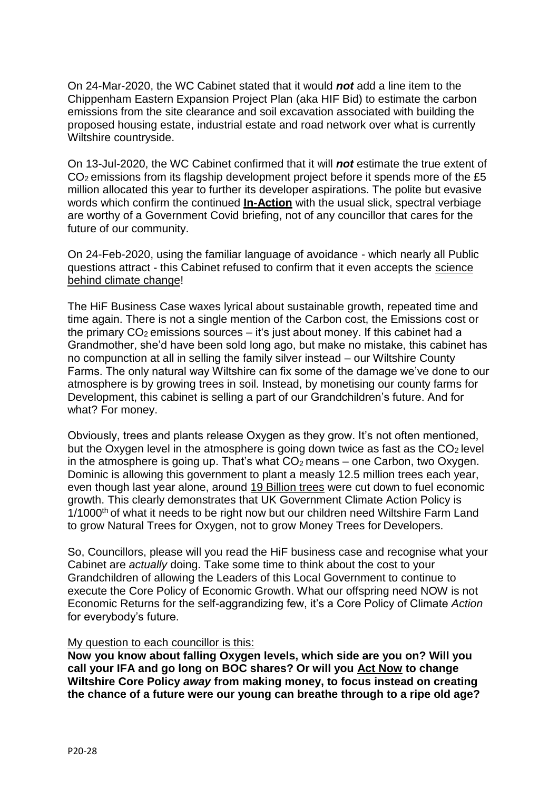On 24-Mar-2020, the WC Cabinet stated that it would *not* add a line item to the Chippenham Eastern Expansion Project Plan (aka HIF Bid) to estimate the carbon emissions from the site clearance and soil excavation associated with building the proposed housing estate, industrial estate and road network over what is currently Wiltshire countryside.

On 13-Jul-2020, the WC Cabinet confirmed that it will *not* estimate the true extent of CO2 emissions from its flagship development project before it spends more of the £5 million allocated this year to further its developer aspirations. The polite but evasive words which confirm the continued **In-Action** with the usual slick, spectral verbiage are worthy of a Government Covid briefing, not of any councillor that cares for the future of our community.

On 24-Feb-2020, using the familiar language of avoidance - which nearly all Public questions attract - this Cabinet refused to confirm that it even accepts the [science](https://eur02.safelinks.protection.outlook.com/?url=https%3A%2F%2Fclimate.nasa.gov%2F&data=02%7C01%7Ckieran.elliott%40wiltshire.gov.uk%7C37b661c0008946aa110208d82964c338%7C5546e75e3be14813b0ff26651ea2fe19%7C0%7C0%7C637304860041252721&sdata=IPsO5zKC2YxhluOcieDSnEwZI6oJNBa5Ct2jhdnpJ0c%3D&reserved=0) [behind climate change!](https://eur02.safelinks.protection.outlook.com/?url=https%3A%2F%2Fclimate.nasa.gov%2F&data=02%7C01%7Ckieran.elliott%40wiltshire.gov.uk%7C37b661c0008946aa110208d82964c338%7C5546e75e3be14813b0ff26651ea2fe19%7C0%7C0%7C637304860041252721&sdata=IPsO5zKC2YxhluOcieDSnEwZI6oJNBa5Ct2jhdnpJ0c%3D&reserved=0)

The HiF Business Case waxes lyrical about sustainable growth, repeated time and time again. There is not a single mention of the Carbon cost, the Emissions cost or the primary  $CO<sub>2</sub>$  emissions sources – it's just about money. If this cabinet had a Grandmother, she'd have been sold long ago, but make no mistake, this cabinet has no compunction at all in selling the family silver instead – our Wiltshire County Farms. The only natural way Wiltshire can fix some of the damage we've done to our atmosphere is by growing trees in soil. Instead, by monetising our county farms for Development, this cabinet is selling a part of our Grandchildren's future. And for what? For money.

Obviously, trees and plants release Oxygen as they grow. It's not often mentioned, but the Oxygen level in the atmosphere is going down twice as fast as the  $CO<sub>2</sub>$  level in the atmosphere is going up. That's what  $CO<sub>2</sub>$  means – one Carbon, two Oxygen. Dominic is allowing this government to plant a measly 12.5 million trees each year, even though last year alone, around [19 Billion trees](https://eur02.safelinks.protection.outlook.com/?url=https%3A%2F%2Fwww.theworldcounts.com%2Fchallenges%2Fplanet-earth%2Fforests-and-deserts%2Frate-of-deforestation&data=02%7C01%7Ckieran.elliott%40wiltshire.gov.uk%7C37b661c0008946aa110208d82964c338%7C5546e75e3be14813b0ff26651ea2fe19%7C0%7C0%7C637304860041262716&sdata=VL%2FkTnzcPflTjCdCiENmKTp%2FIGqAEpndyJ2Q%2FsAkIPg%3D&reserved=0) were cut down to fuel economic growth. This clearly demonstrates that UK Government Climate Action Policy is 1/1000<sup>th</sup> of what it needs to be right now but our children need Wiltshire Farm Land to grow Natural Trees for Oxygen, not to grow Money Trees for Developers.

So, Councillors, please will you read the HiF business case and recognise what your Cabinet are *actually* doing. Take some time to think about the cost to your Grandchildren of allowing the Leaders of this Local Government to continue to execute the Core Policy of Economic Growth. What our offspring need NOW is not Economic Returns for the self-aggrandizing few, it's a Core Policy of Climate *Action*  for everybody's future.

### My question to each councillor is this:

**Now you know about falling Oxygen levels, which side are you on? Will you call your IFA and go long on BOC shares? Or will you Act Now to change Wiltshire Core Policy** *away* **from making money, to focus instead on creating the chance of a future were our young can breathe through to a ripe old age?**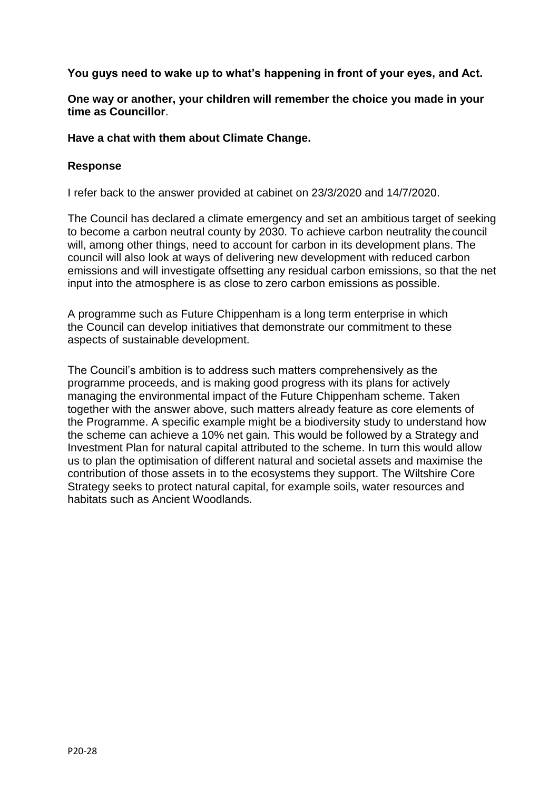**You guys need to wake up to what's happening in front of your eyes, and Act.**

**One way or another, your children will remember the choice you made in your time as Councillor**.

**Have a chat with them about Climate Change.** 

### **Response**

I refer back to the answer provided at cabinet on 23/3/2020 and 14/7/2020.

The Council has declared a climate emergency and set an ambitious target of seeking to become a carbon neutral county by 2030. To achieve carbon neutrality thecouncil will, among other things, need to account for carbon in its development plans. The council will also look at ways of delivering new development with reduced carbon emissions and will investigate offsetting any residual carbon emissions, so that the net input into the atmosphere is as close to zero carbon emissions as possible.

A programme such as Future Chippenham is a long term enterprise in which the Council can develop initiatives that demonstrate our commitment to these aspects of sustainable development.

The Council's ambition is to address such matters comprehensively as the programme proceeds, and is making good progress with its plans for actively managing the environmental impact of the Future Chippenham scheme. Taken together with the answer above, such matters already feature as core elements of the Programme. A specific example might be a biodiversity study to understand how the scheme can achieve a 10% net gain. This would be followed by a Strategy and Investment Plan for natural capital attributed to the scheme. In turn this would allow us to plan the optimisation of different natural and societal assets and maximise the contribution of those assets in to the ecosystems they support. The Wiltshire Core Strategy seeks to protect natural capital, for example soils, water resources and habitats such as Ancient Woodlands.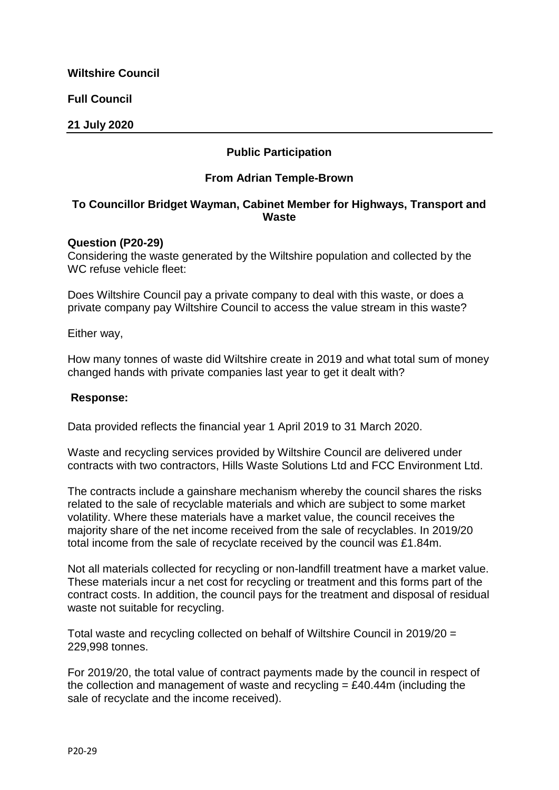**Full Council**

**21 July 2020**

## **Public Participation**

#### **From Adrian Temple-Brown**

### **To Councillor Bridget Wayman, Cabinet Member for Highways, Transport and Waste**

#### **Question (P20-29)**

Considering the waste generated by the Wiltshire population and collected by the WC refuse vehicle fleet:

Does Wiltshire Council pay a private company to deal with this waste, or does a private company pay Wiltshire Council to access the value stream in this waste?

Either way,

How many tonnes of waste did Wiltshire create in 2019 and what total sum of money changed hands with private companies last year to get it dealt with?

#### **Response:**

Data provided reflects the financial year 1 April 2019 to 31 March 2020.

Waste and recycling services provided by Wiltshire Council are delivered under contracts with two contractors, Hills Waste Solutions Ltd and FCC Environment Ltd.

The contracts include a gainshare mechanism whereby the council shares the risks related to the sale of recyclable materials and which are subject to some market volatility. Where these materials have a market value, the council receives the majority share of the net income received from the sale of recyclables. In 2019/20 total income from the sale of recyclate received by the council was £1.84m.

Not all materials collected for recycling or non-landfill treatment have a market value. These materials incur a net cost for recycling or treatment and this forms part of the contract costs. In addition, the council pays for the treatment and disposal of residual waste not suitable for recycling.

Total waste and recycling collected on behalf of Wiltshire Council in 2019/20 = 229,998 tonnes.

For 2019/20, the total value of contract payments made by the council in respect of the collection and management of waste and recycling  $= \text{\pounds}40.44$ m (including the sale of recyclate and the income received).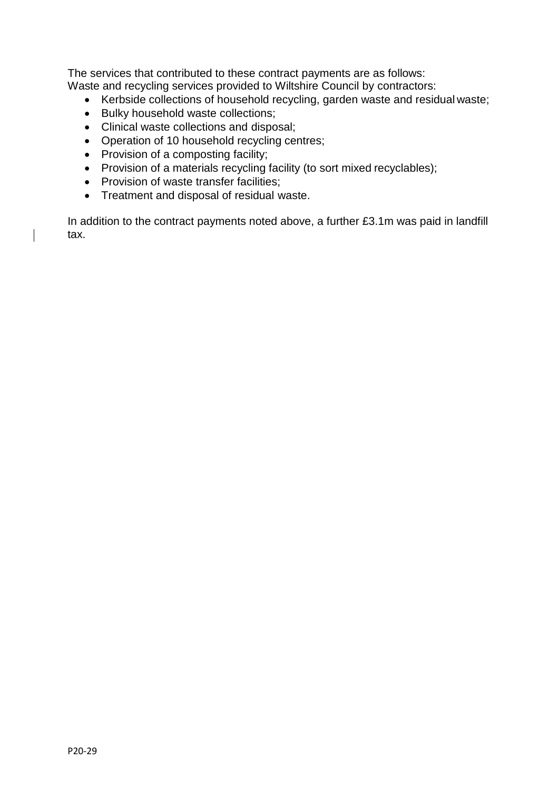The services that contributed to these contract payments are as follows: Waste and recycling services provided to Wiltshire Council by contractors:

- Kerbside collections of household recycling, garden waste and residual waste;
- Bulky household waste collections;
- Clinical waste collections and disposal;
- Operation of 10 household recycling centres;
- Provision of a composting facility;
- Provision of a materials recycling facility (to sort mixed recyclables);
- Provision of waste transfer facilities;
- Treatment and disposal of residual waste.

In addition to the contract payments noted above, a further £3.1m was paid in landfill tax.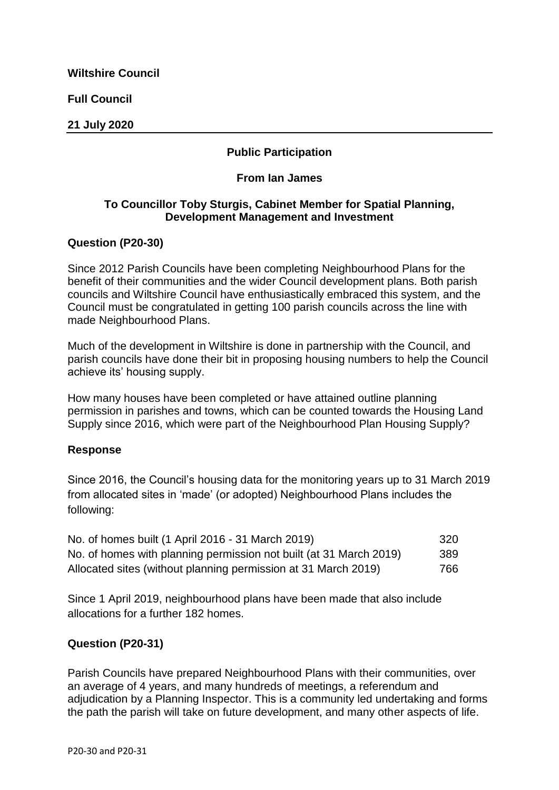**Full Council**

### **21 July 2020**

## **Public Participation**

#### **From Ian James**

### **To Councillor Toby Sturgis, Cabinet Member for Spatial Planning, Development Management and Investment**

#### **Question (P20-30)**

Since 2012 Parish Councils have been completing Neighbourhood Plans for the benefit of their communities and the wider Council development plans. Both parish councils and Wiltshire Council have enthusiastically embraced this system, and the Council must be congratulated in getting 100 parish councils across the line with made Neighbourhood Plans.

Much of the development in Wiltshire is done in partnership with the Council, and parish councils have done their bit in proposing housing numbers to help the Council achieve its' housing supply.

How many houses have been completed or have attained outline planning permission in parishes and towns, which can be counted towards the Housing Land Supply since 2016, which were part of the Neighbourhood Plan Housing Supply?

#### **Response**

Since 2016, the Council's housing data for the monitoring years up to 31 March 2019 from allocated sites in 'made' (or adopted) Neighbourhood Plans includes the following:

| No. of homes built (1 April 2016 - 31 March 2019)                  | 320 |
|--------------------------------------------------------------------|-----|
| No. of homes with planning permission not built (at 31 March 2019) | 389 |
| Allocated sites (without planning permission at 31 March 2019)     | 766 |

Since 1 April 2019, neighbourhood plans have been made that also include allocations for a further 182 homes.

### **Question (P20-31)**

Parish Councils have prepared Neighbourhood Plans with their communities, over an average of 4 years, and many hundreds of meetings, a referendum and adjudication by a Planning Inspector. This is a community led undertaking and forms the path the parish will take on future development, and many other aspects of life.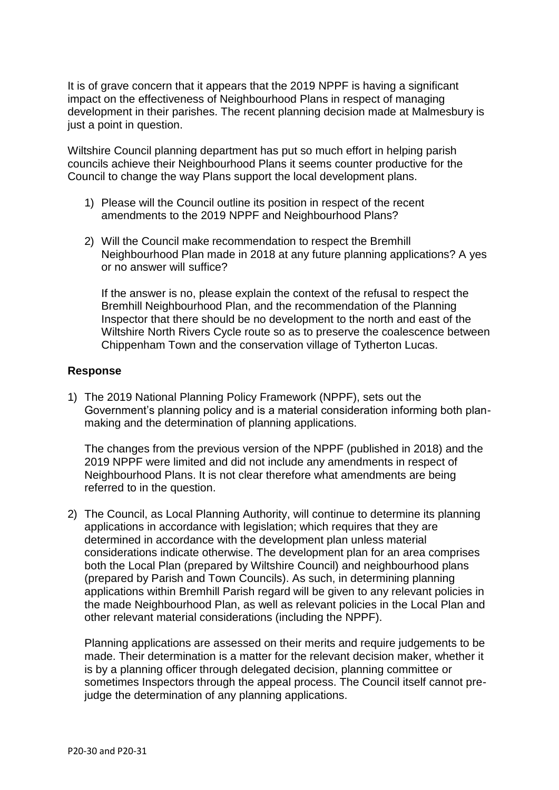It is of grave concern that it appears that the 2019 NPPF is having a significant impact on the effectiveness of Neighbourhood Plans in respect of managing development in their parishes. The recent planning decision made at Malmesbury is just a point in question.

Wiltshire Council planning department has put so much effort in helping parish councils achieve their Neighbourhood Plans it seems counter productive for the Council to change the way Plans support the local development plans.

- 1) Please will the Council outline its position in respect of the recent amendments to the 2019 NPPF and Neighbourhood Plans?
- 2) Will the Council make recommendation to respect the Bremhill Neighbourhood Plan made in 2018 at any future planning applications? A yes or no answer will suffice?

If the answer is no, please explain the context of the refusal to respect the Bremhill Neighbourhood Plan, and the recommendation of the Planning Inspector that there should be no development to the north and east of the Wiltshire North Rivers Cycle route so as to preserve the coalescence between Chippenham Town and the conservation village of Tytherton Lucas.

### **Response**

1) The 2019 National Planning Policy Framework (NPPF), sets out the Government's planning policy and is a material consideration informing both planmaking and the determination of planning applications.

The changes from the previous version of the NPPF (published in 2018) and the 2019 NPPF were limited and did not include any amendments in respect of Neighbourhood Plans. It is not clear therefore what amendments are being referred to in the question.

2) The Council, as Local Planning Authority, will continue to determine its planning applications in accordance with legislation; which requires that they are determined in accordance with the development plan unless material considerations indicate otherwise. The development plan for an area comprises both the Local Plan (prepared by Wiltshire Council) and neighbourhood plans (prepared by Parish and Town Councils). As such, in determining planning applications within Bremhill Parish regard will be given to any relevant policies in the made Neighbourhood Plan, as well as relevant policies in the Local Plan and other relevant material considerations (including the NPPF).

Planning applications are assessed on their merits and require judgements to be made. Their determination is a matter for the relevant decision maker, whether it is by a planning officer through delegated decision, planning committee or sometimes Inspectors through the appeal process. The Council itself cannot prejudge the determination of any planning applications.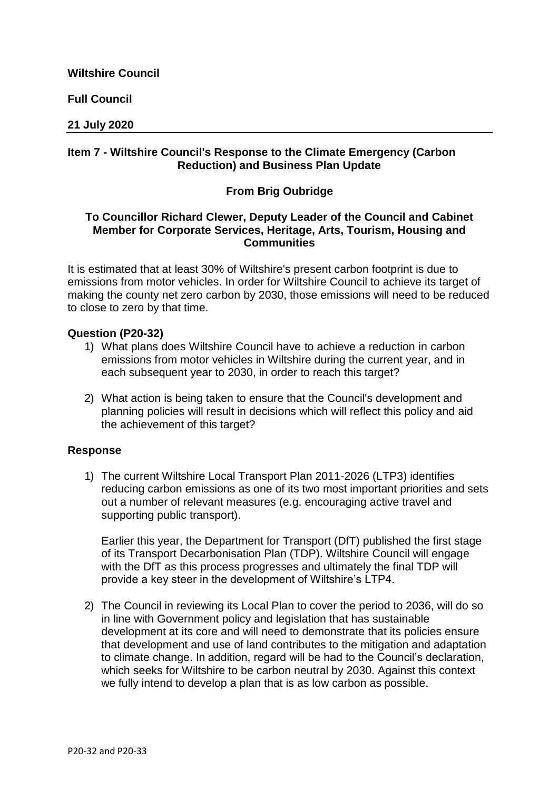**Full Council**

#### **21 July 2020**

### **Item 7 - Wiltshire Council's Response to the Climate Emergency (Carbon Reduction) and Business Plan Update**

### **From Brig Oubridge**

### **To Councillor Richard Clewer, Deputy Leader of the Council and Cabinet Member for Corporate Services, Heritage, Arts, Tourism, Housing and Communities**

It is estimated that at least 30% of Wiltshire's present carbon footprint is due to emissions from motor vehicles. In order for Wiltshire Council to achieve its target of making the county net zero carbon by 2030, those emissions will need to be reduced to close to zero by that time.

#### **Question (P20-32)**

- 1) What plans does Wiltshire Council have to achieve a reduction in carbon emissions from motor vehicles in Wiltshire during the current year, and in each subsequent year to 2030, in order to reach this target?
- 2) What action is being taken to ensure that the Council's development and planning policies will result in decisions which will reflect this policy and aid the achievement of this target?

### **Response**

1) The current Wiltshire Local Transport Plan 2011-2026 (LTP3) identifies reducing carbon emissions as one of its two most important priorities and sets out a number of relevant measures (e.g. encouraging active travel and supporting public transport).

Earlier this year, the Department for Transport (DfT) published the first stage of its Transport Decarbonisation Plan (TDP). Wiltshire Council will engage with the DfT as this process progresses and ultimately the final TDP will provide a key steer in the development of Wiltshire's LTP4.

2) The Council in reviewing its Local Plan to cover the period to 2036, will do so in line with Government policy and legislation that has sustainable development at its core and will need to demonstrate that its policies ensure that development and use of land contributes to the mitigation and adaptation to climate change. In addition, regard will be had to the Council's declaration, which seeks for Wiltshire to be carbon neutral by 2030. Against this context we fully intend to develop a plan that is as low carbon as possible.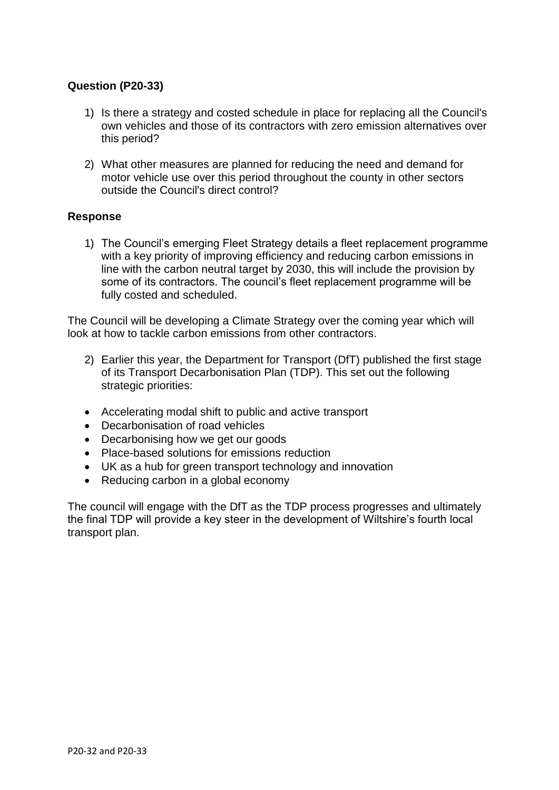## **Question (P20-33)**

- 1) Is there a strategy and costed schedule in place for replacing all the Council's own vehicles and those of its contractors with zero emission alternatives over this period?
- 2) What other measures are planned for reducing the need and demand for motor vehicle use over this period throughout the county in other sectors outside the Council's direct control?

#### **Response**

1) The Council's emerging Fleet Strategy details a fleet replacement programme with a key priority of improving efficiency and reducing carbon emissions in line with the carbon neutral target by 2030, this will include the provision by some of its contractors. The council's fleet replacement programme will be fully costed and scheduled.

The Council will be developing a Climate Strategy over the coming year which will look at how to tackle carbon emissions from other contractors.

- 2) Earlier this year, the Department for Transport (DfT) published the first stage of its Transport Decarbonisation Plan (TDP). This set out the following strategic priorities:
- Accelerating modal shift to public and active transport
- Decarbonisation of road vehicles
- Decarbonising how we get our goods
- Place-based solutions for emissions reduction
- UK as a hub for green transport technology and innovation
- Reducing carbon in a global economy

The council will engage with the DfT as the TDP process progresses and ultimately the final TDP will provide a key steer in the development of Wiltshire's fourth local transport plan.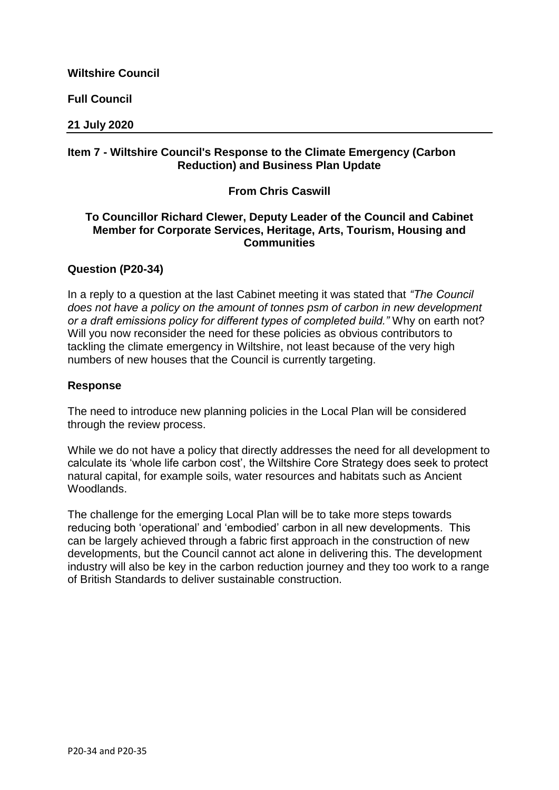**Full Council**

#### **21 July 2020**

### **Item 7 - Wiltshire Council's Response to the Climate Emergency (Carbon Reduction) and Business Plan Update**

### **From Chris Caswill**

### **To Councillor Richard Clewer, Deputy Leader of the Council and Cabinet Member for Corporate Services, Heritage, Arts, Tourism, Housing and Communities**

### **Question (P20-34)**

In a reply to a question at the last Cabinet meeting it was stated that *"The Council does not have a policy on the amount of tonnes psm of carbon in new development or a draft emissions policy for different types of completed build."* Why on earth not? Will you now reconsider the need for these policies as obvious contributors to tackling the climate emergency in Wiltshire, not least because of the very high numbers of new houses that the Council is currently targeting.

#### **Response**

The need to introduce new planning policies in the Local Plan will be considered through the review process.

While we do not have a policy that directly addresses the need for all development to calculate its 'whole life carbon cost', the Wiltshire Core Strategy does seek to protect natural capital, for example soils, water resources and habitats such as Ancient Woodlands.

The challenge for the emerging Local Plan will be to take more steps towards reducing both 'operational' and 'embodied' carbon in all new developments. This can be largely achieved through a fabric first approach in the construction of new developments, but the Council cannot act alone in delivering this. The development industry will also be key in the carbon reduction journey and they too work to a range of British Standards to deliver sustainable construction.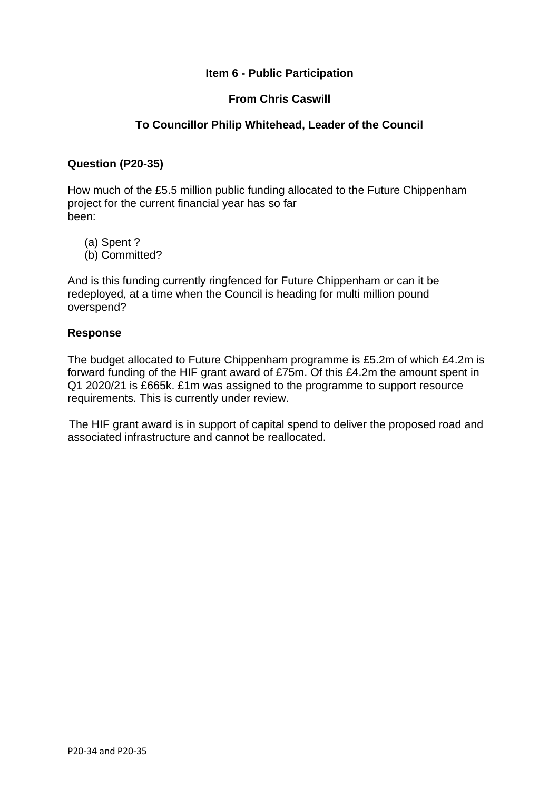### **Item 6 - Public Participation**

### **From Chris Caswill**

## **To Councillor Philip Whitehead, Leader of the Council**

### **Question (P20-35)**

How much of the £5.5 million public funding allocated to the Future Chippenham project for the current financial year has so far been:

- (a) Spent ?
- (b) Committed?

And is this funding currently ringfenced for Future Chippenham or can it be redeployed, at a time when the Council is heading for multi million pound overspend?

### **Response**

The budget allocated to Future Chippenham programme is £5.2m of which £4.2m is forward funding of the HIF grant award of £75m. Of this £4.2m the amount spent in Q1 2020/21 is £665k. £1m was assigned to the programme to support resource requirements. This is currently under review.

The HIF grant award is in support of capital spend to deliver the proposed road and associated infrastructure and cannot be reallocated.